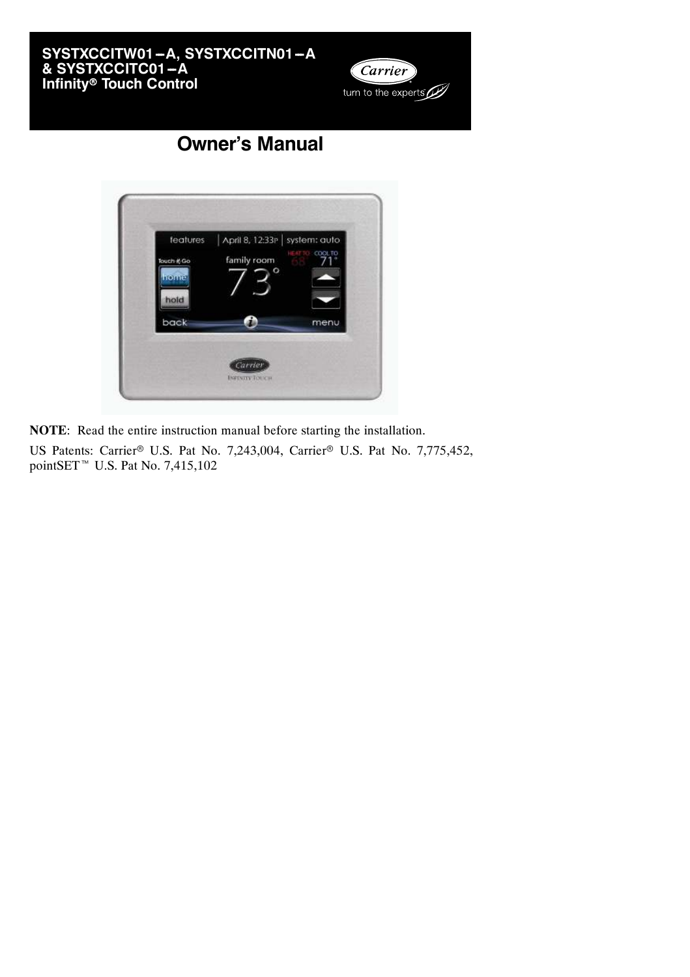



# **Owner's Manual**

| features    | April 8, 12:33P system: auto | COOL TO |
|-------------|------------------------------|---------|
| Touch it Go | family room<br>o             |         |
|             |                              |         |
| hold        |                              |         |
| back        |                              | menu    |

**NOTE**: Read the entire instruction manual before starting the installation.

US Patents: Carrier® U.S. Pat No. 7,243,004, Carrier® U.S. Pat No. 7,775,452, pointSET<sup> $M$ </sup> U.S. Pat No. 7,415,102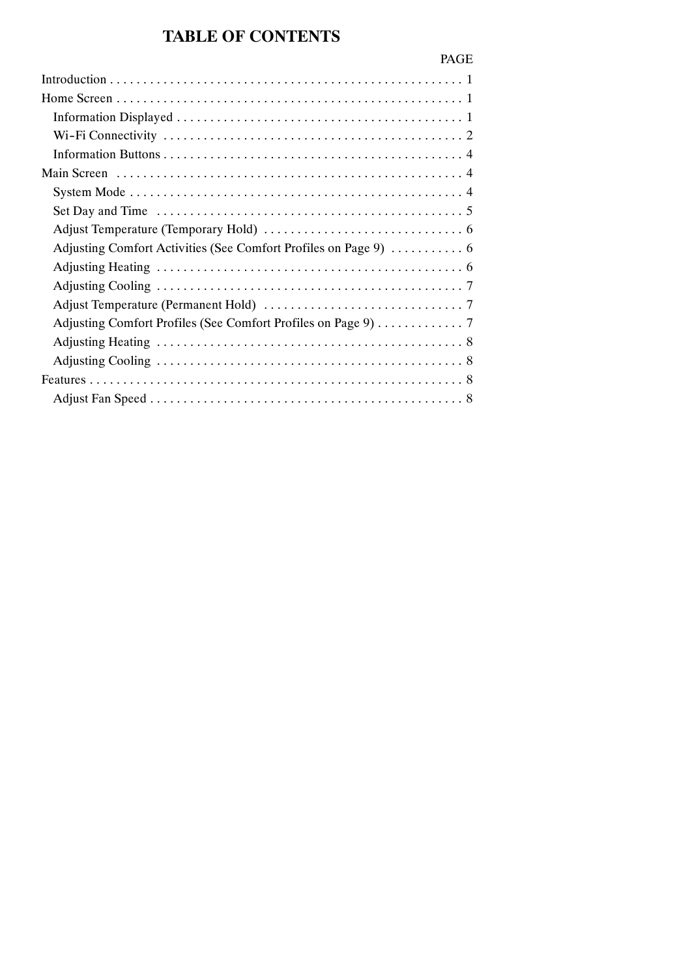# **TABLE OF CONTENTS**

| ------ | and the contract of |  |
|--------|---------------------|--|
|        |                     |  |
|        |                     |  |
|        |                     |  |

PAGE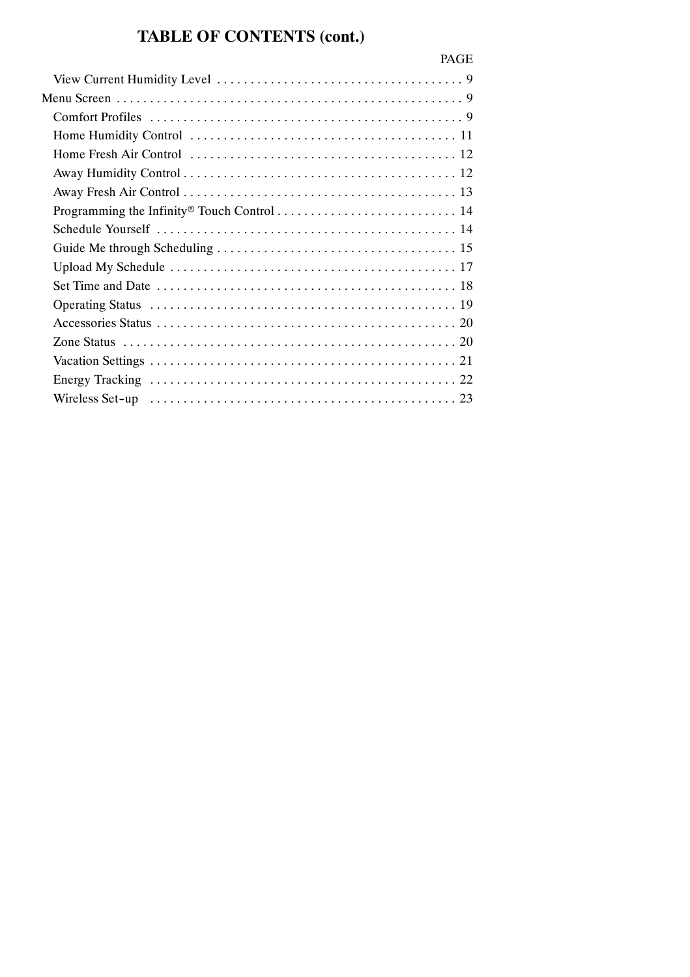# **TABLE OF CONTENTS (cont.)**

| <b>PAGE</b> |
|-------------|
|             |
|             |
|             |
|             |
|             |
|             |
|             |
|             |
|             |
|             |
|             |
|             |
|             |
|             |
|             |
|             |
|             |
|             |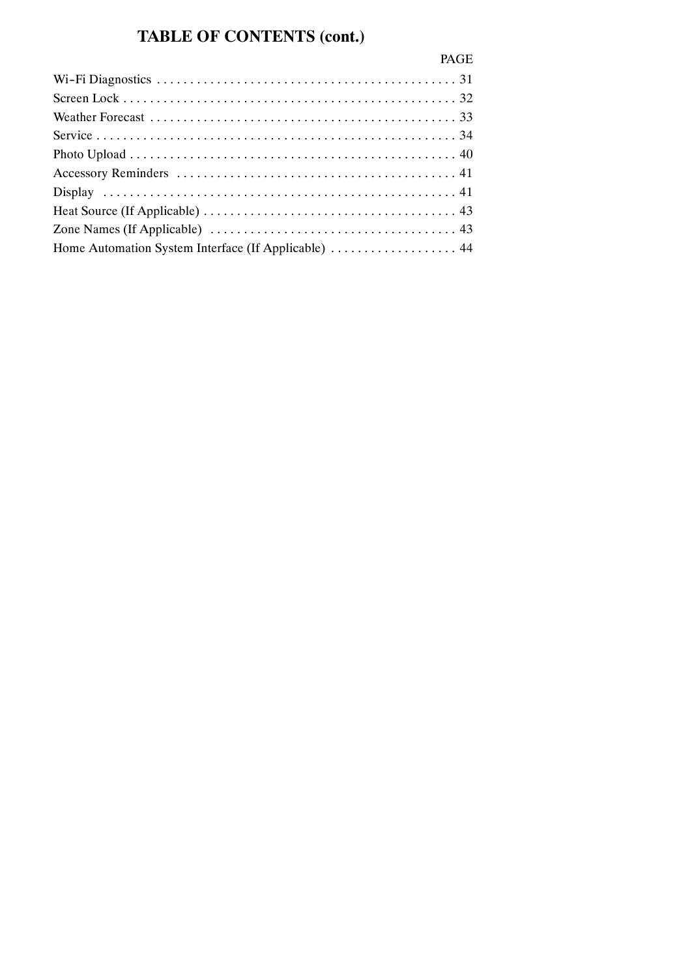# **TABLE OF CONTENTS (cont.)**

| <b>PAGE</b> |
|-------------|
|             |
|             |
|             |
|             |
|             |
|             |
|             |
|             |
|             |
|             |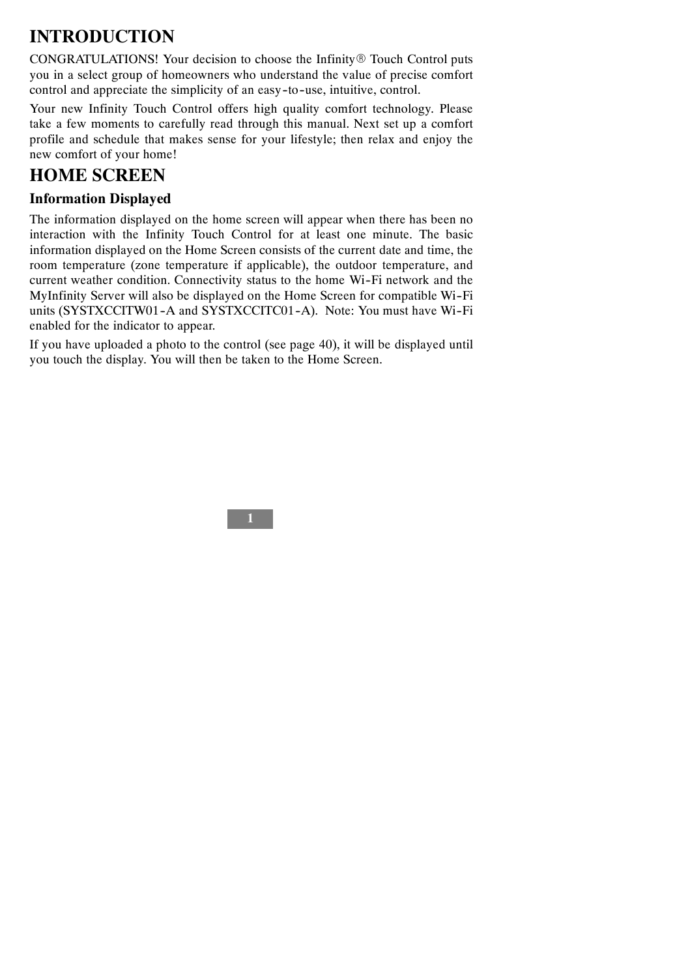# **INTRODUCTION**

CONGRATULATIONS! Your decision to choose the Infinity® Touch Control puts you in a select group of homeowners who understand the value of precise comfort control and appreciate the simplicity of an easy-to-use, intuitive, control.

Your new Infinity Touch Control offers high quality comfort technology. Please take a few moments to carefully read through this manual. Next set up a comfort profile and schedule that makes sense for your lifestyle; then relax and enjoy the new comfort of your home!

## **HOME SCREEN**

## **Information Displayed**

The information displayed on the home screen will appear when there has been no interaction with the Infinity Touch Control for at least one minute. The basic information displayed on the Home Screen consists of the current date and time, the room temperature (zone temperature if applicable), the outdoor temperature, and current weather condition. Connectivity status to the home Wi--Fi network and the MyInfinity Server will also be displayed on the Home Screen for compatible Wi-Fi units (SYSTXCCITW01-A and SYSTXCCITC01-A). Note: You must have Wi-Fi enabled for the indicator to appear.

If you have uploaded a photo to the control (see page 40), it will be displayed until you touch the display. You will then be taken to the Home Screen.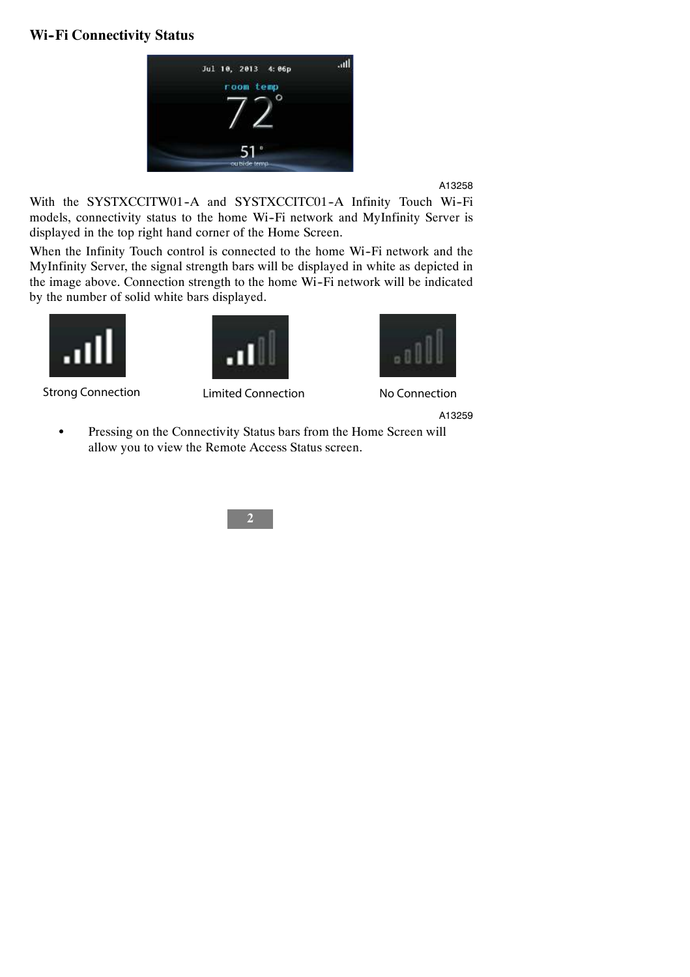#### **Wi--Fi Connectivity Status**



A13258

With the SYSTXCCITW01-A and SYSTXCCITC01-A Infinity Touch Wi-Fi models, connectivity status to the home Wi-Fi network and MyInfinity Server is displayed in the top right hand corner of the Home Screen.

When the Infinity Touch control is connected to the home Wi-Fi network and the MyInfinity Server, the signal strength bars will be displayed in white as depicted in the image above. Connection strength to the home Wi-Fi network will be indicated by the number of solid white bars displayed.





Strong Connection Limited Connection No Connection



A13259

• Pressing on the Connectivity Status bars from the Home Screen will allow you to view the Remote Access Status screen.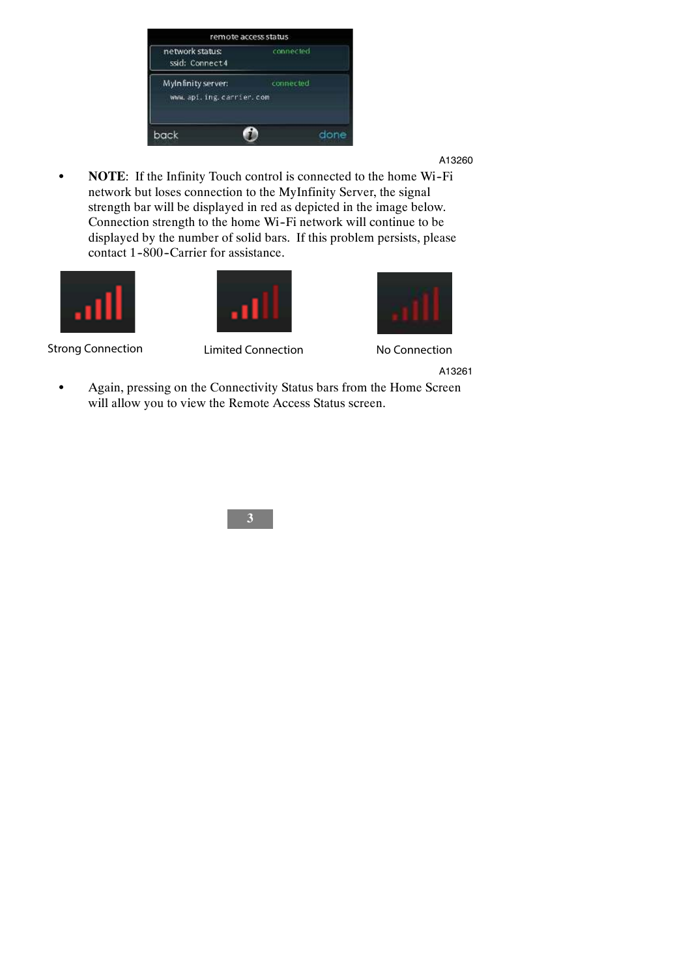| connected. |                         |  |
|------------|-------------------------|--|
|            |                         |  |
| connected. |                         |  |
|            |                         |  |
|            | done                    |  |
|            | www.api.ing.carrier.com |  |

• **NOTE:** If the Infinity Touch control is connected to the home Wi-Fi network but loses connection to the MyInfinity Server, the signal strength bar will be displayed in red as depicted in the image below. Connection strength to the home Wi-Fi network will continue to be displayed by the number of solid bars. If this problem persists, please contact 1-800-Carrier for assistance.





Strong Connection Limited Connection No Connection



A13261

• Again, pressing on the Connectivity Status bars from the Home Screen will allow you to view the Remote Access Status screen.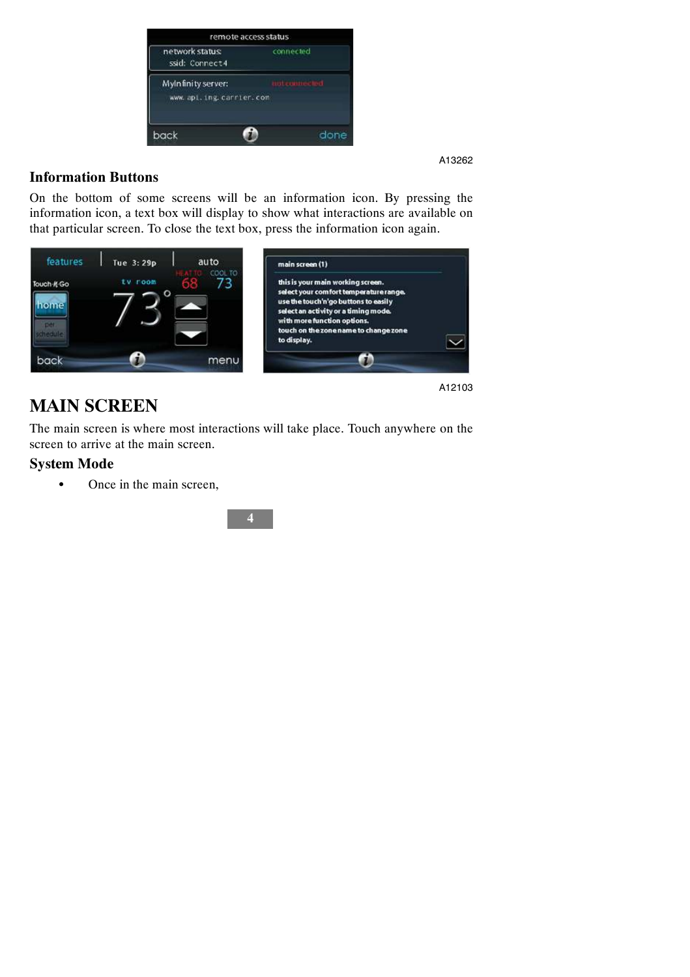| Mylnfinity server:<br>www.api.ing.carrier.com |  |
|-----------------------------------------------|--|
|                                               |  |

### **Information Buttons**

On the bottom of some screens will be an information icon. By pressing the information icon, a text box will display to show what interactions are available on that particular screen. To close the text box, press the information icon again.



## **MAIN SCREEN**

The main screen is where most interactions will take place. Touch anywhere on the screen to arrive at the main screen.

#### **System Mode**

• Once in the main screen,

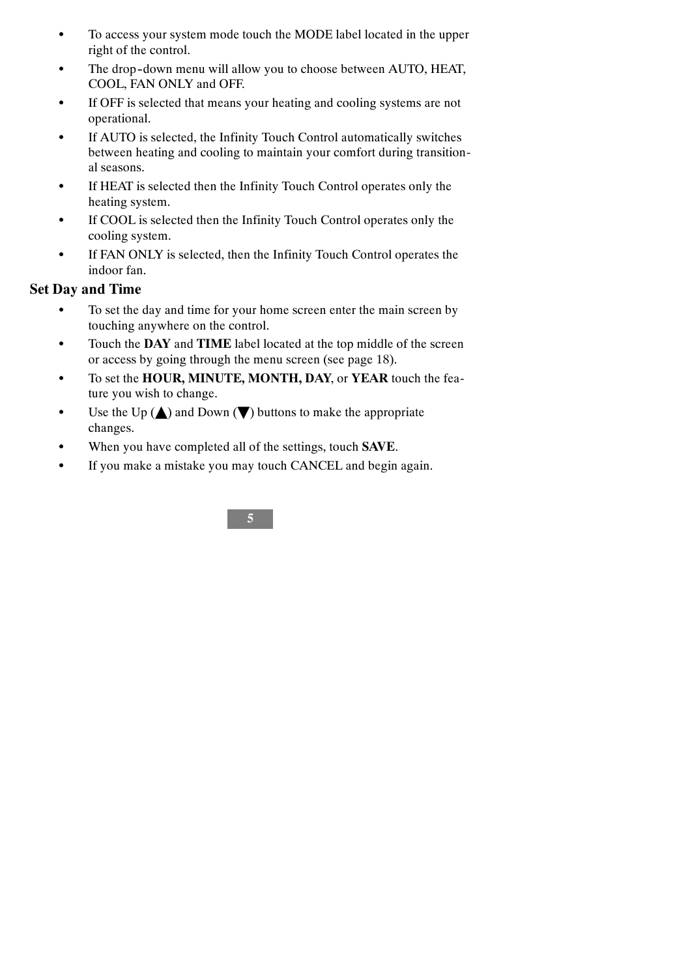- To access your system mode touch the MODE label located in the upper right of the control.
- The drop-down menu will allow you to choose between AUTO, HEAT, COOL, FAN ONLY and OFF.
- If OFF is selected that means your heating and cooling systems are not operational.
- If AUTO is selected, the Infinity Touch Control automatically switches between heating and cooling to maintain your comfort during transitional seasons.
- S If HEAT is selected then the Infinity Touch Control operates only the heating system.
- If COOL is selected then the Infinity Touch Control operates only the cooling system.
- If FAN ONLY is selected, then the Infinity Touch Control operates the indoor fan.

### **Set Day and Time**

- To set the day and time for your home screen enter the main screen by touching anywhere on the control.
- Touch the **DAY** and **TIME** label located at the top middle of the screen or access by going through the menu screen (see page 18).
- $\bullet$  To set the **HOUR, MINUTE, MONTH, DAY**, or **YEAR** touch the feature you wish to change.
- Use the Up  $(\triangle)$  and Down  $(\blacktriangledown)$  buttons to make the appropriate changes.
- S When you have completed all of the settings, touch **SAVE**.
- If you make a mistake you may touch CANCEL and begin again.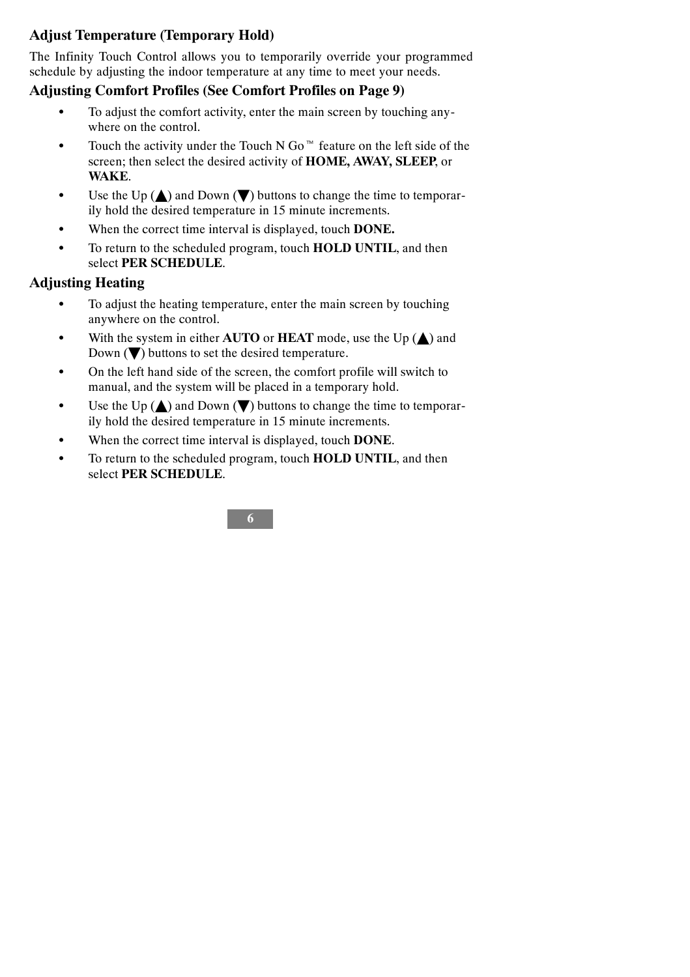## **Adjust Temperature (Temporary Hold)**

The Infinity Touch Control allows you to temporarily override your programmed schedule by adjusting the indoor temperature at any time to meet your needs.

#### **Adjusting Comfort Profiles (See Comfort Profiles on Page 9)**

- To adjust the comfort activity, enter the main screen by touching anywhere on the control.
- Touch the activity under the Touch N Go<sup> $M$ </sup> feature on the left side of the screen; then select the desired activity of **HOME, AWAY, SLEEP**, or **WAKE**.
- $\bullet$  Use the Up ( $\blacktriangle$ ) and Down ( $\nabla$ ) buttons to change the time to temporarily hold the desired temperature in 15 minute increments.
- $\bullet$  When the correct time interval is displayed, touch **DONE.**
- $\bullet$  To return to the scheduled program, touch **HOLD UNTIL**, and then select **PER SCHEDULE**.

### **Adjusting Heating**

- To adjust the heating temperature, enter the main screen by touching anywhere on the control.
- $\bullet$  With the system in either **AUTO** or **HEAT** mode, use the Up  $(\triangle)$  and Down  $(\blacktriangledown)$  buttons to set the desired temperature.
- On the left hand side of the screen, the comfort profile will switch to manual, and the system will be placed in a temporary hold.
- $\bullet$  Use the Up ( $\blacktriangle$ ) and Down ( $\nabla$ ) buttons to change the time to temporarily hold the desired temperature in 15 minute increments.
- When the correct time interval is displayed, touch **DONE**.
- $\bullet$  To return to the scheduled program, touch **HOLD UNTIL**, and then select **PER SCHEDULE**.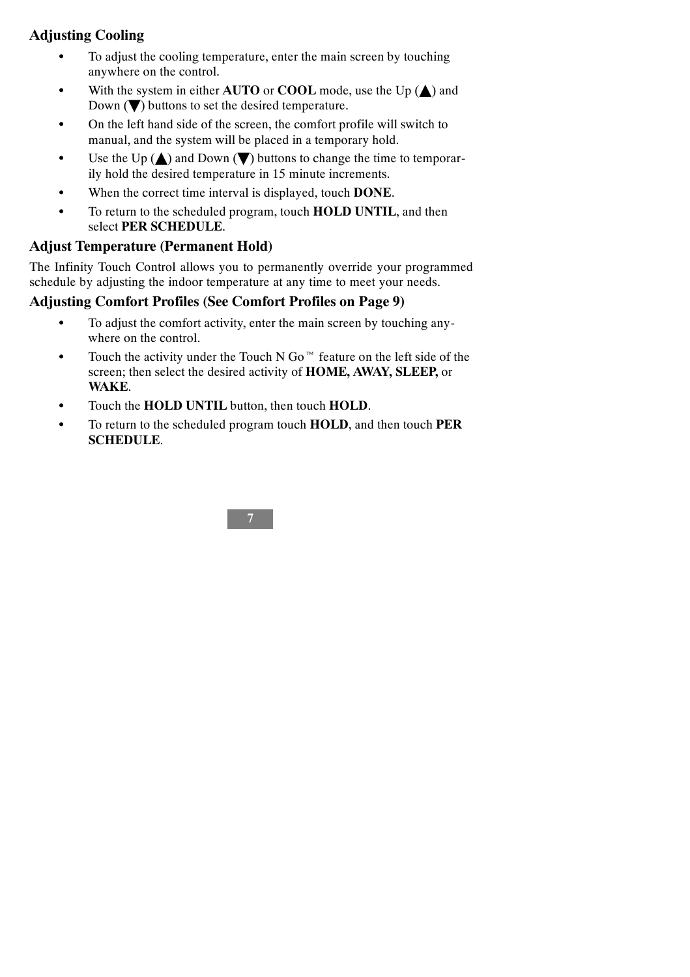## **Adjusting Cooling**

- To adjust the cooling temperature, enter the main screen by touching anywhere on the control.
- With the system in either  $\bf{A} \bf{U} \bf{TO}$  or  $\bf{COOL}$  mode, use the Up  $(\triangle)$  and Down  $(\blacktriangledown)$  buttons to set the desired temperature.
- On the left hand side of the screen, the comfort profile will switch to manual, and the system will be placed in a temporary hold.
- $\bullet$  Use the Up ( $\blacktriangle$ ) and Down ( $\nabla$ ) buttons to change the time to temporarily hold the desired temperature in 15 minute increments.
- When the correct time interval is displayed, touch **DONE**.
- $\bullet$  To return to the scheduled program, touch **HOLD UNTIL**, and then select **PER SCHEDULE**.

#### **Adjust Temperature (Permanent Hold)**

The Infinity Touch Control allows you to permanently override your programmed schedule by adjusting the indoor temperature at any time to meet your needs.

#### **Adjusting Comfort Profiles (See Comfort Profiles on Page 9)**

- To adjust the comfort activity, enter the main screen by touching anywhere on the control.
- Touch the activity under the Touch N Go<sup> $M$ </sup> feature on the left side of the screen; then select the desired activity of **HOME, AWAY, SLEEP,** or **WAKE**.
- Touch the **HOLD UNTIL** button, then touch **HOLD**.
- S To return to the scheduled program touch **HOLD**, and then touch **PER SCHEDULE**.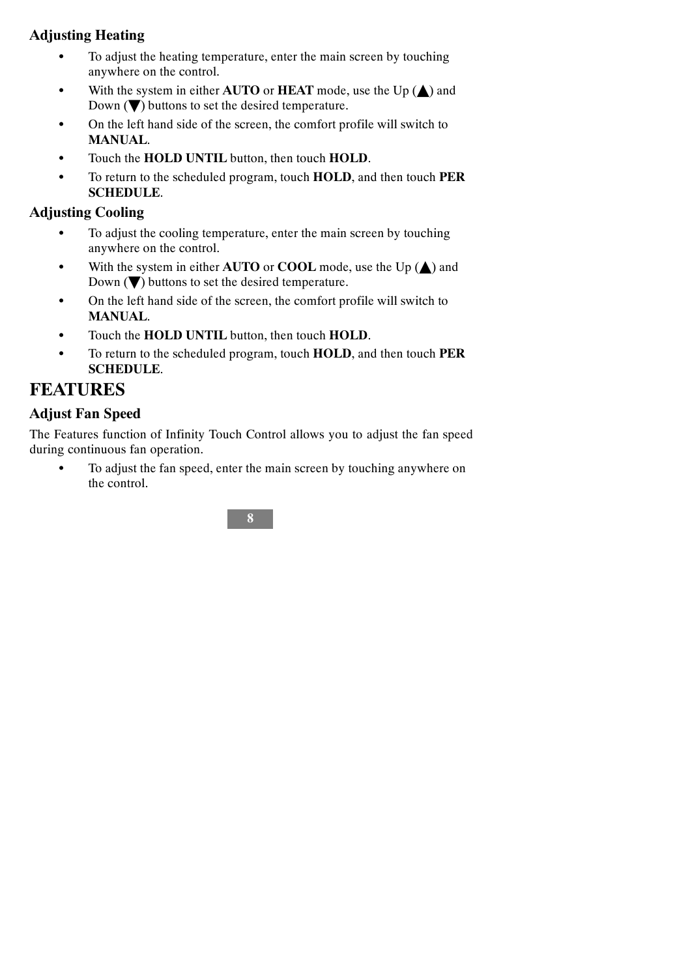## **Adjusting Heating**

- To adjust the heating temperature, enter the main screen by touching anywhere on the control.
- $\bullet$  With the system in either **AUTO** or **HEAT** mode, use the Up  $(\triangle)$  and Down  $(\blacktriangledown)$  buttons to set the desired temperature.
- On the left hand side of the screen, the comfort profile will switch to **MANUAL**.
- $\bullet$  Touch the **HOLD UNTIL** button, then touch **HOLD**.
- S To return to the scheduled program, touch **HOLD**, and then touch **PER SCHEDULE**.

## **Adjusting Cooling**

- To adjust the cooling temperature, enter the main screen by touching anywhere on the control.
- $\bullet$  With the system in either **AUTO** or **COOL** mode, use the Up  $(\triangle)$  and Down  $(\blacktriangledown)$  buttons to set the desired temperature.
- On the left hand side of the screen, the comfort profile will switch to **MANUAL**.
- $\bullet$  Touch the **HOLD UNTIL** button, then touch **HOLD**.
- S To return to the scheduled program, touch **HOLD**, and then touch **PER SCHEDULE**.

## **FEATURES**

## **Adjust Fan Speed**

The Features function of Infinity Touch Control allows you to adjust the fan speed during continuous fan operation.

To adjust the fan speed, enter the main screen by touching anywhere on the control.

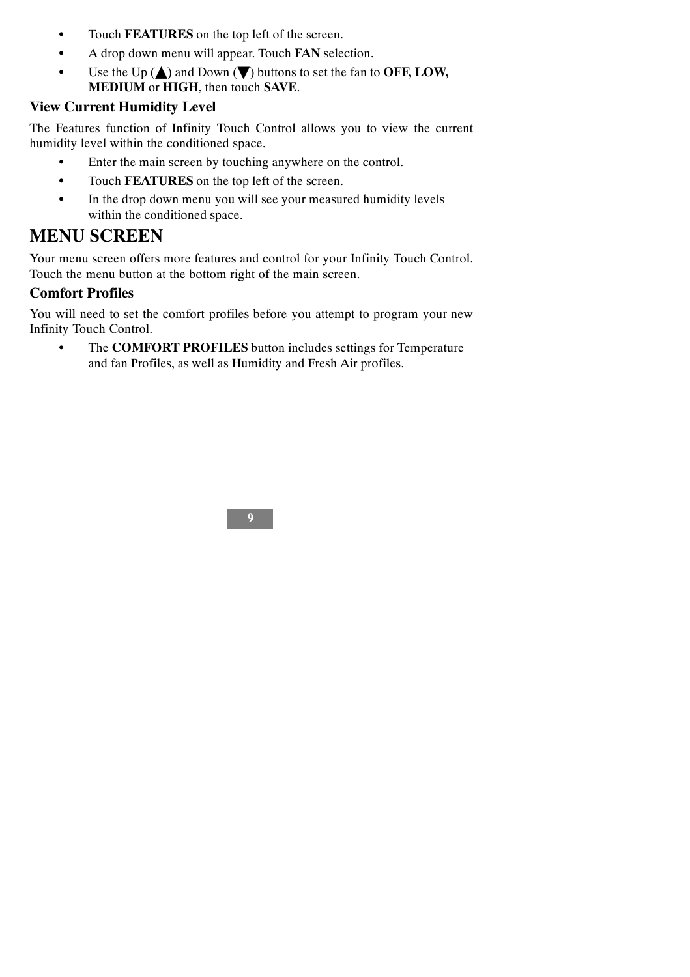- $\bullet$  Touch **FEATURES** on the top left of the screen.
- A drop down menu will appear. Touch **FAN** selection.
- Use the Up  $(\triangle)$  and Down  $(\blacktriangledown)$  buttons to set the fan to **OFF, LOW, MEDIUM** or **HIGH**, then touch **SAVE**.

#### **View Current Humidity Level**

The Features function of Infinity Touch Control allows you to view the current humidity level within the conditioned space.

- Enter the main screen by touching anywhere on the control.
- $\bullet$  Touch **FEATURES** on the top left of the screen.
- In the drop down menu you will see your measured humidity levels within the conditioned space.

## **MENU SCREEN**

Your menu screen offers more features and control for your Infinity Touch Control. Touch the menu button at the bottom right of the main screen.

#### **Comfort Profiles**

You will need to set the comfort profiles before you attempt to program your new Infinity Touch Control.

• The **COMFORT PROFILES** button includes settings for Temperature and fan Profiles, as well as Humidity and Fresh Air profiles.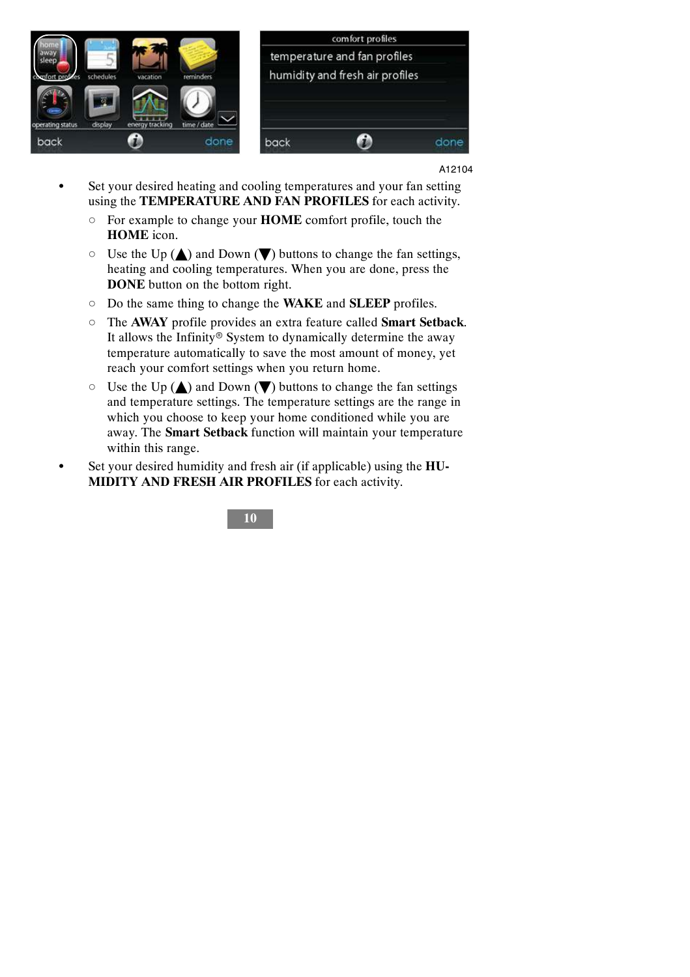

- Set your desired heating and cooling temperatures and your fan setting using the **TEMPERATURE AND FAN PROFILES** for each activity.
	- d For example to change your **HOME** comfort profile, touch the **HOME** icon.
	- $\circ$  Use the Up ( $\triangle$ ) and Down ( $\nabla$ ) buttons to change the fan settings, heating and cooling temperatures. When you are done, press the **DONE** button on the bottom right.
	- d Do the same thing to change the **WAKE** and **SLEEP** profiles.
	- d The **AWAY** profile provides an extra feature called **Smart Setback**. It allows the Infinity<sup>®</sup> System to dynamically determine the away temperature automatically to save the most amount of money, yet reach your comfort settings when you return home.
	- $\circ$  Use the Up ( $\triangle$ ) and Down ( $\nabla$ ) buttons to change the fan settings and temperature settings. The temperature settings are the range in which you choose to keep your home conditioned while you are away. The **Smart Setback** function will maintain your temperature within this range.
- Set your desired humidity and fresh air (if applicable) using the HU-**MIDITY AND FRESH AIR PROFILES** for each activity.

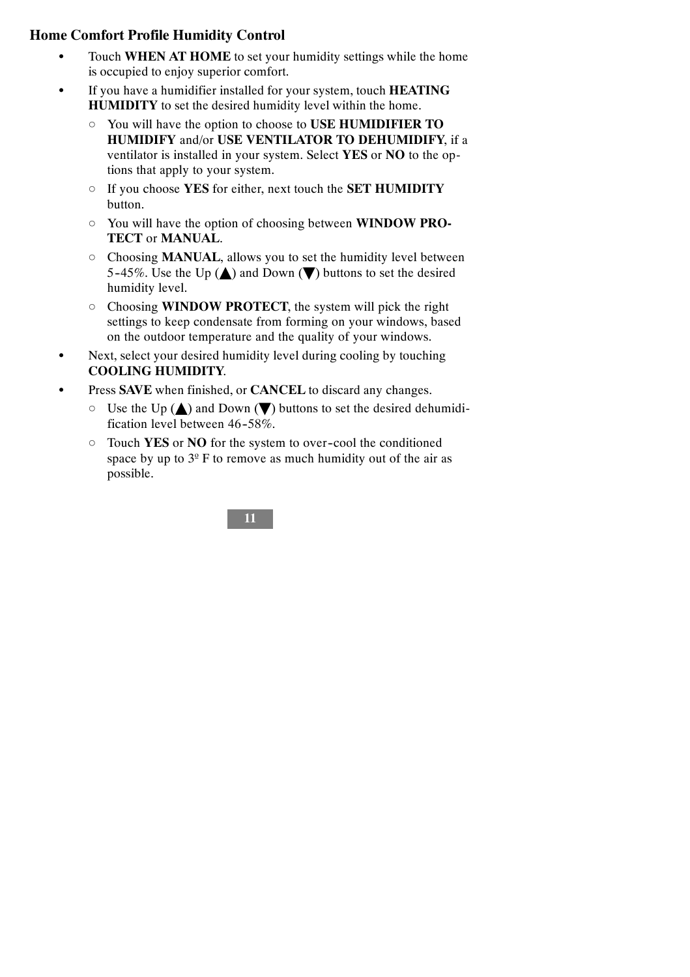### **Home Comfort Profile Humidity Control**

- Touch **WHEN AT HOME** to set your humidity settings while the home is occupied to enjoy superior comfort.
- If you have a humidifier installed for your system, touch **HEATING HUMIDITY** to set the desired humidity level within the home.
	- d You will have the option to choose to **USE HUMIDIFIER TO HUMIDIFY** and/or **USE VENTILATOR TO DEHUMIDIFY**, if a ventilator is installed in your system. Select **YES** or **NO** to the options that apply to your system.
	- d If you choose **YES** for either, next touch the **SET HUMIDITY** button.
	- d You will have the option of choosing between **WINDOW PRO-TECT** or **MANUAL**.
	- d Choosing **MANUAL**, allows you to set the humidity level between 5-45%. Use the Up  $(\triangle)$  and Down  $(\blacktriangledown)$  buttons to set the desired humidity level.
	- d Choosing **WINDOW PROTECT**, the system will pick the right settings to keep condensate from forming on your windows, based on the outdoor temperature and the quality of your windows.
- Next, select your desired humidity level during cooling by touching **COOLING HUMIDITY**.
- Press **SAVE** when finished, or **CANCEL** to discard any changes.
	- $\circ$  Use the Up ( $\triangle$ ) and Down ( $\nabla$ ) buttons to set the desired dehumidification level between 46-58%.
	- d Touch **YES** or **NO** for the system to over--cool the conditioned space by up to  $3<sup>°</sup>$  F to remove as much humidity out of the air as possible.

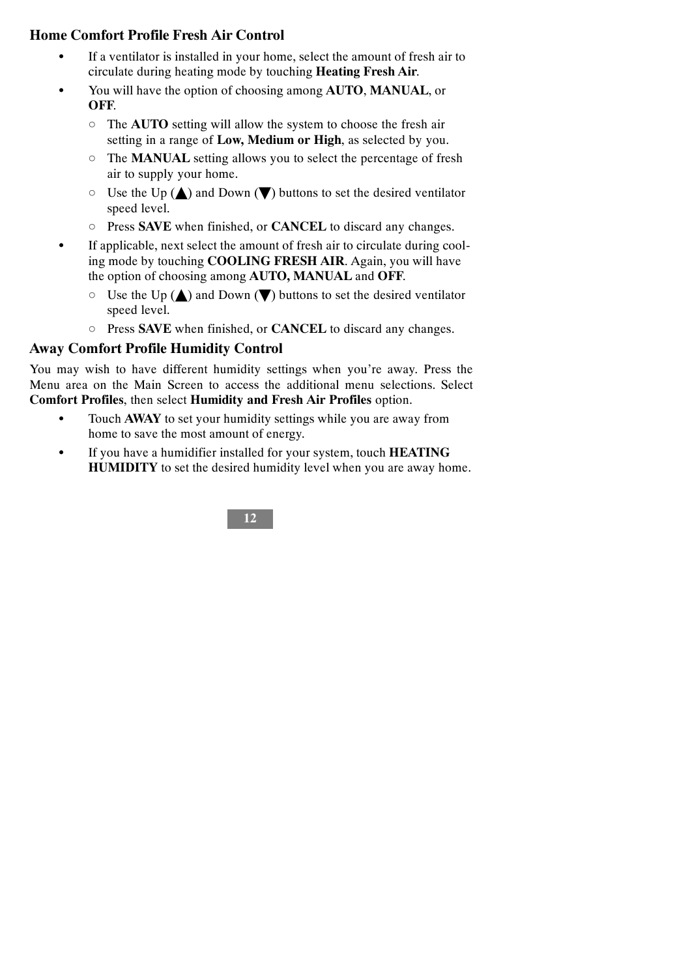### **Home Comfort Profile Fresh Air Control**

- If a ventilator is installed in your home, select the amount of fresh air to circulate during heating mode by touching **Heating Fresh Air**.
- S You will have the option of choosing among **AUTO**, **MANUAL**, or **OFF**.
	- d The **AUTO** setting will allow the system to choose the fresh air setting in a range of **Low, Medium or High**, as selected by you.
	- d The **MANUAL** setting allows you to select the percentage of fresh air to supply your home.
	- $\circ$  Use the Up ( $\triangle$ ) and Down ( $\nabla$ ) buttons to set the desired ventilator speed level.
	- d Press **SAVE** when finished, or **CANCEL** to discard any changes.
- If applicable, next select the amount of fresh air to circulate during cooling mode by touching **COOLING FRESH AIR**. Again, you will have the option of choosing among **AUTO, MANUAL** and **OFF**.
	- $\circ$  Use the Up ( $\triangle$ ) and Down ( $\blacktriangledown$ ) buttons to set the desired ventilator speed level.
	- d Press **SAVE** when finished, or **CANCEL** to discard any changes.

#### **Away Comfort Profile Humidity Control**

You may wish to have different humidity settings when you're away. Press the Menu area on the Main Screen to access the additional menu selections. Select **Comfort Profiles**, then select **Humidity and Fresh Air Profiles** option.

- Touch **AWAY** to set your humidity settings while you are away from home to save the most amount of energy.
- $\bullet$  If you have a humidifier installed for your system, touch **HEATING HUMIDITY** to set the desired humidity level when you are away home.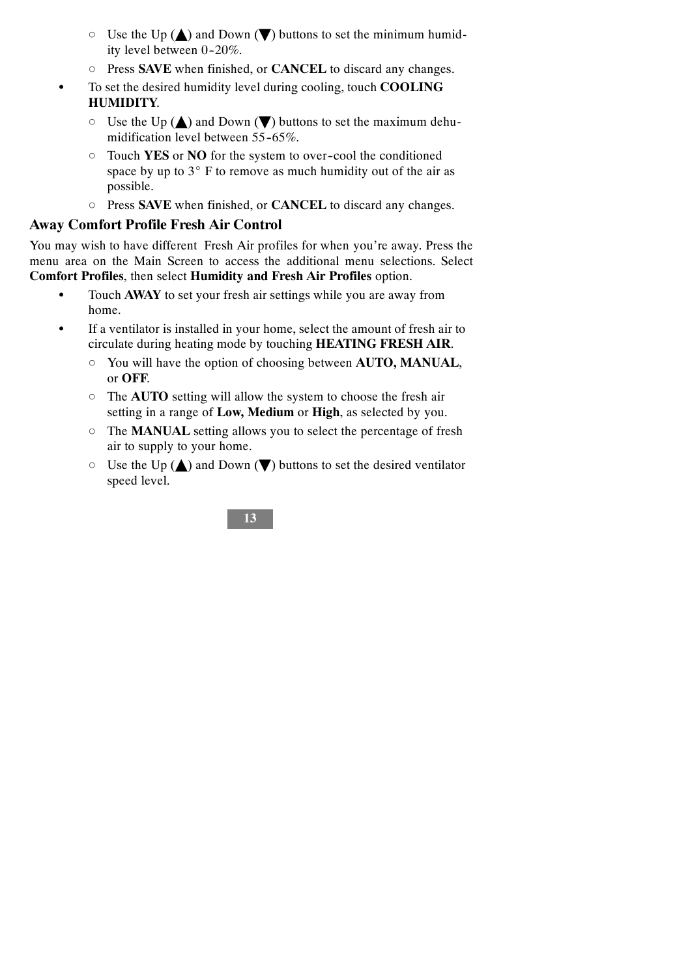- $\circ$  Use the Up ( $\triangle$ ) and Down ( $\nabla$ ) buttons to set the minimum humidity level between 0-20%.
- d Press **SAVE** when finished, or **CANCEL** to discard any changes.
- To set the desired humidity level during cooling, touch **COOLING HUMIDITY**.
	- $\circ$  Use the Up ( $\triangle$ ) and Down ( $\nabla$ ) buttons to set the maximum dehumidification level between  $55-65\%$ .
	- d Touch **YES** or **NO** for the system to over--cool the conditioned space by up to  $3^\circ$  F to remove as much humidity out of the air as possible.
	- d Press **SAVE** when finished, or **CANCEL** to discard any changes.

#### **Away Comfort Profile Fresh Air Control**

You may wish to have different Fresh Air profiles for when you're away. Press the menu area on the Main Screen to access the additional menu selections. Select **Comfort Profiles**, then select **Humidity and Fresh Air Profiles** option.

- Touch **AWAY** to set your fresh air settings while you are away from home.
- If a ventilator is installed in your home, select the amount of fresh air to circulate during heating mode by touching **HEATING FRESH AIR**.
	- d You will have the option of choosing between **AUTO, MANUAL**, or **OFF**.
	- d The **AUTO** setting will allow the system to choose the fresh air setting in a range of **Low, Medium** or **High**, as selected by you.
	- d The **MANUAL** setting allows you to select the percentage of fresh air to supply to your home.
	- $\circ$  Use the Up ( $\triangle$ ) and Down ( $\nabla$ ) buttons to set the desired ventilator speed level.

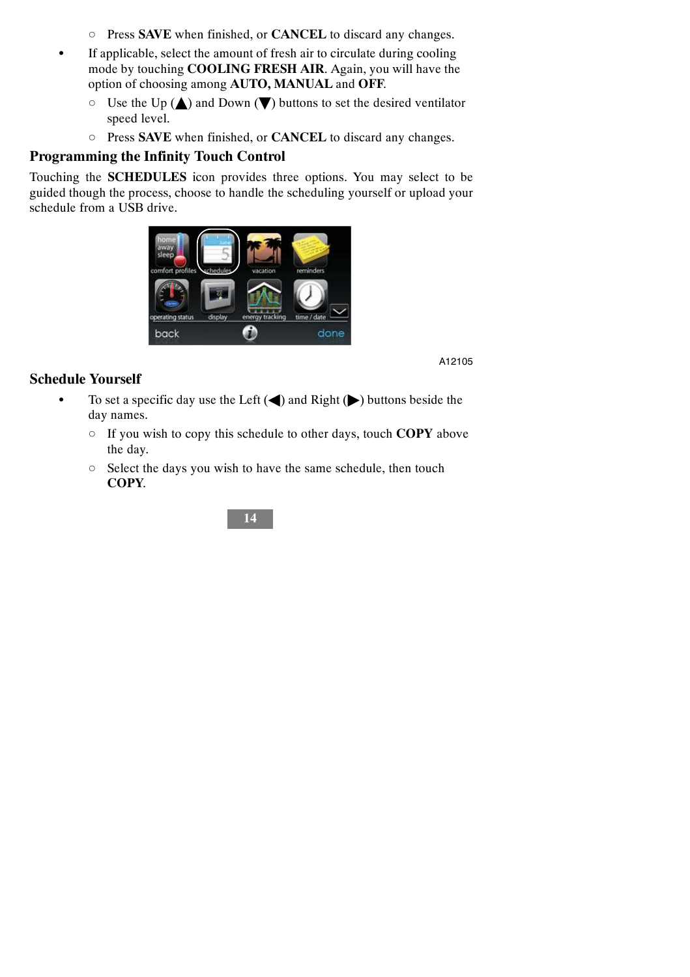- d Press **SAVE** when finished, or **CANCEL** to discard any changes.
- If applicable, select the amount of fresh air to circulate during cooling mode by touching **COOLING FRESH AIR**. Again, you will have the option of choosing among **AUTO, MANUAL** and **OFF**.
	- $\circ$  Use the Up ( $\triangle$ ) and Down ( $\blacktriangledown$ ) buttons to set the desired ventilator speed level.
	- d Press **SAVE** when finished, or **CANCEL** to discard any changes.

#### **Programming the Infinity Touch Control**

Touching the **SCHEDULES** icon provides three options. You may select to be guided though the process, choose to handle the scheduling yourself or upload your schedule from a USB drive.



A12105

#### **Schedule Yourself**

- $\bullet$  To set a specific day use the Left ( $\blacktriangleleft$ ) and Right ( $\blacktriangleright$ ) buttons beside the day names.
	- d If you wish to copy this schedule to other days, touch **COPY** above the day.
	- $\circ$  Select the days you wish to have the same schedule, then touch **COPY**.

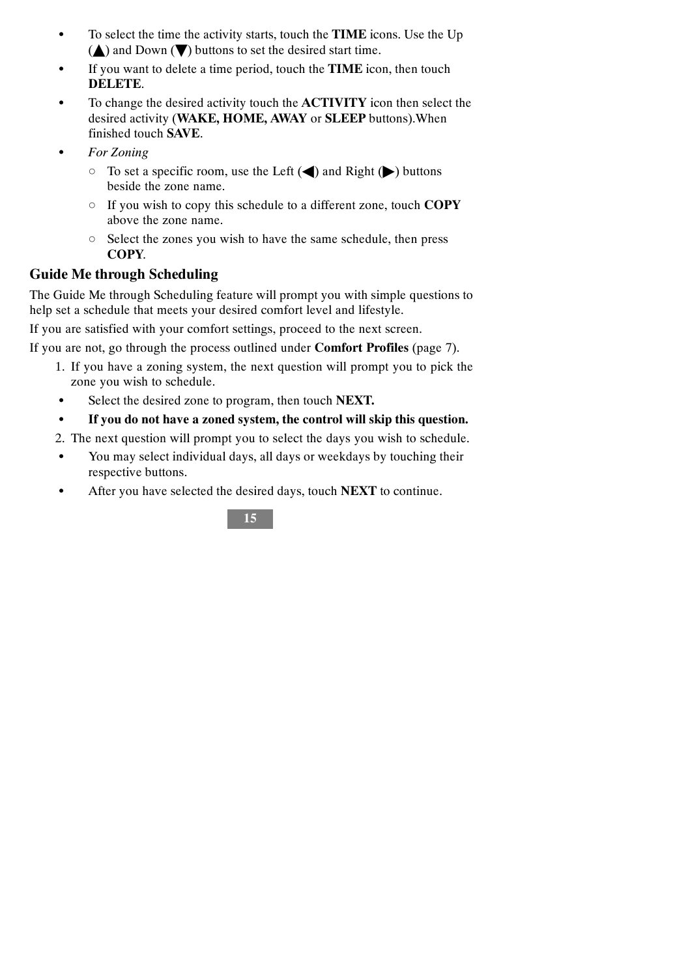- To select the time the activity starts, touch the **TIME** icons. Use the Up  $(\triangle)$  and Down  $(\blacktriangledown)$  buttons to set the desired start time.
- If you want to delete a time period, touch the **TIME** icon, then touch **DELETE**.
- To change the desired activity touch the **ACTIVITY** icon then select the desired activity (**WAKE, HOME, AWAY** or **SLEEP** buttons).When finished touch **SAVE**.
- **For Zoning** 
	- $\circ$  To set a specific room, use the Left ( $\triangle$ ) and Right ( $\triangleright$ ) buttons beside the zone name.
	- d If you wish to copy this schedule to a different zone, touch **COPY** above the zone name.
	- $\circ$  Select the zones you wish to have the same schedule, then press **COPY**.

### **Guide Me through Scheduling**

The Guide Me through Scheduling feature will prompt you with simple questions to help set a schedule that meets your desired comfort level and lifestyle.

If you are satisfied with your comfort settings, proceed to the next screen.

If you are not, go through the process outlined under **Comfort Profiles** (page 7).

- 1. If you have a zoning system, the next question will prompt you to pick the zone you wish to schedule.
- Select the desired zone to program, then touch **NEXT.**
- S **If you do not have a zoned system, the control will skip this question.**
- 2. The next question will prompt you to select the days you wish to schedule.
- You may select individual days, all days or weekdays by touching their respective buttons.
- After you have selected the desired days, touch **NEXT** to continue.

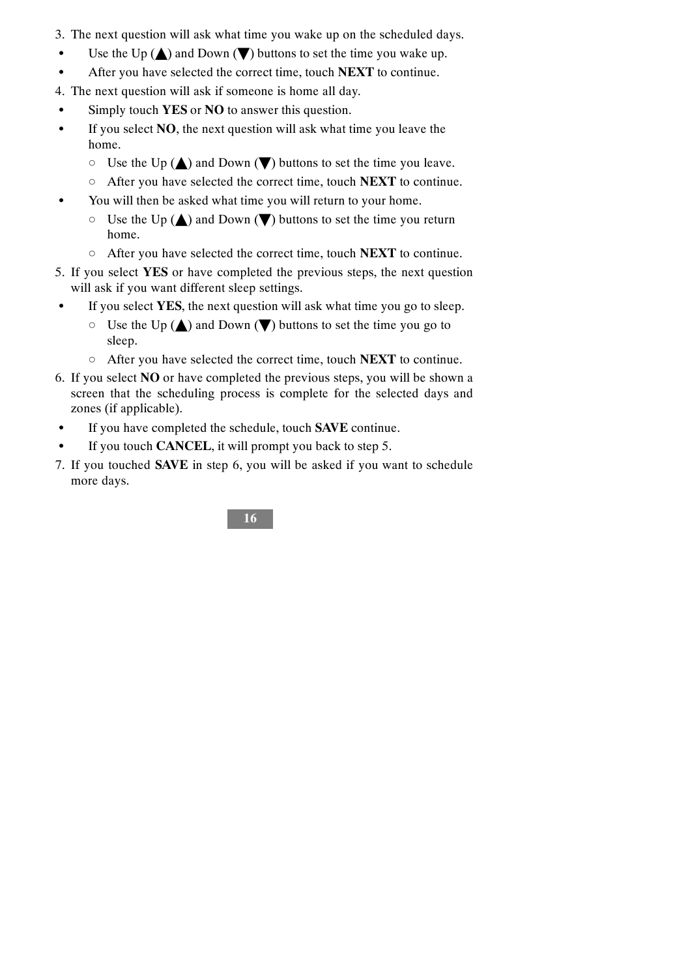- 3. The next question will ask what time you wake up on the scheduled days.
- Use the Up  $(\triangle)$  and Down  $(\blacktriangledown)$  buttons to set the time you wake up.
- After you have selected the correct time, touch **NEXT** to continue.
- 4. The next question will ask if someone is home all day.
- Simply touch **YES** or **NO** to answer this question.
- S If you select **NO**, the next question will ask what time you leave the home.
	- $\circ$  Use the Up ( $\triangle$ ) and Down ( $\nabla$ ) buttons to set the time you leave.
	- d After you have selected the correct time, touch **NEXT** to continue.
- You will then be asked what time you will return to your home.
	- $\circ$  Use the Up ( $\triangle$ ) and Down ( $\blacktriangledown$ ) buttons to set the time you return home.
	- d After you have selected the correct time, touch **NEXT** to continue.
- 5. If you select **YES** or have completed the previous steps, the next question will ask if you want different sleep settings.
- $\bullet$  If you select **YES**, the next question will ask what time you go to sleep.
	- $\circ$  Use the Up ( $\triangle$ ) and Down ( $\blacktriangledown$ ) buttons to set the time you go to sleep.
	- d After you have selected the correct time, touch **NEXT** to continue.
- 6. If you select **NO** or have completed the previous steps, you will be shown a screen that the scheduling process is complete for the selected days and zones (if applicable).
- If you have completed the schedule, touch **SAVE** continue.
- If you touch **CANCEL**, it will prompt you back to step 5.
- 7. If you touched **SAVE** in step 6, you will be asked if you want to schedule more days.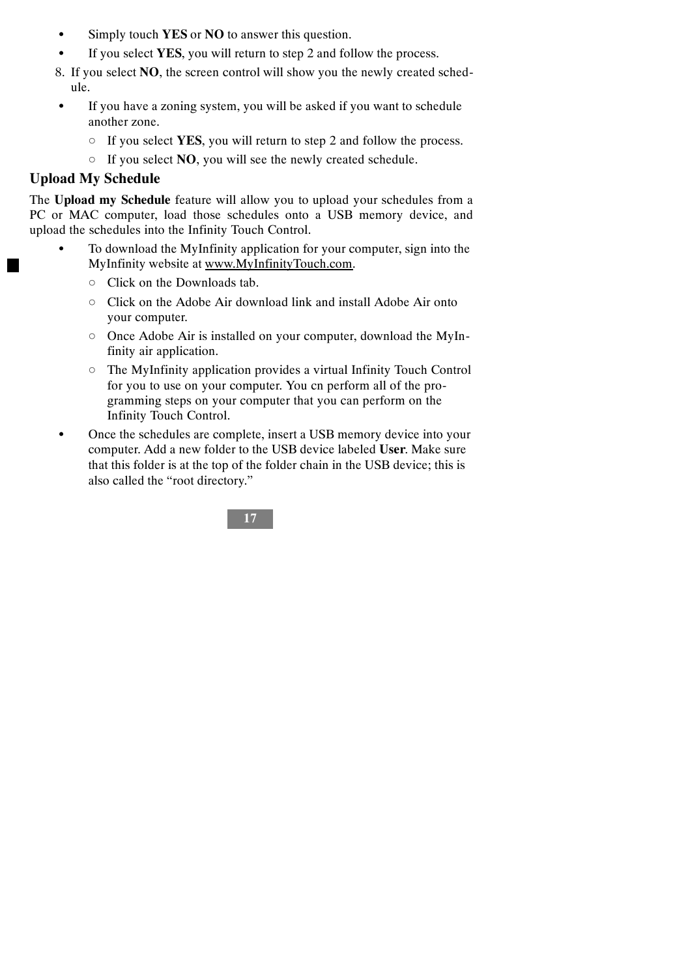- Simply touch **YES** or **NO** to answer this question.
- If you select YES, you will return to step 2 and follow the process.
- 8. If you select **NO**, the screen control will show you the newly created schedule.
- If you have a zoning system, you will be asked if you want to schedule another zone.
	- d If you select **YES**, you will return to step 2 and follow the process.
	- d If you select **NO**, you will see the newly created schedule.

#### **Upload My Schedule**

The **Upload my Schedule** feature will allow you to upload your schedules from a PC or MAC computer, load those schedules onto a USB memory device, and upload the schedules into the Infinity Touch Control.

- To download the MyInfinity application for your computer, sign into the MyInfinity website at www.MyInfinityTouch.com.
	- d Click on the Downloads tab.
	- d Click on the Adobe Air download link and install Adobe Air onto your computer.
	- $\circ$  Once Adobe Air is installed on your computer, download the MyInfinity air application.
	- $\circ$  The MyInfinity application provides a virtual Infinity Touch Control for you to use on your computer. You cn perform all of the programming steps on your computer that you can perform on the Infinity Touch Control.
- Once the schedules are complete, insert a USB memory device into your computer. Add a new folder to the USB device labeled **User**. Make sure that this folder is at the top of the folder chain in the USB device; this is also called the "root directory."

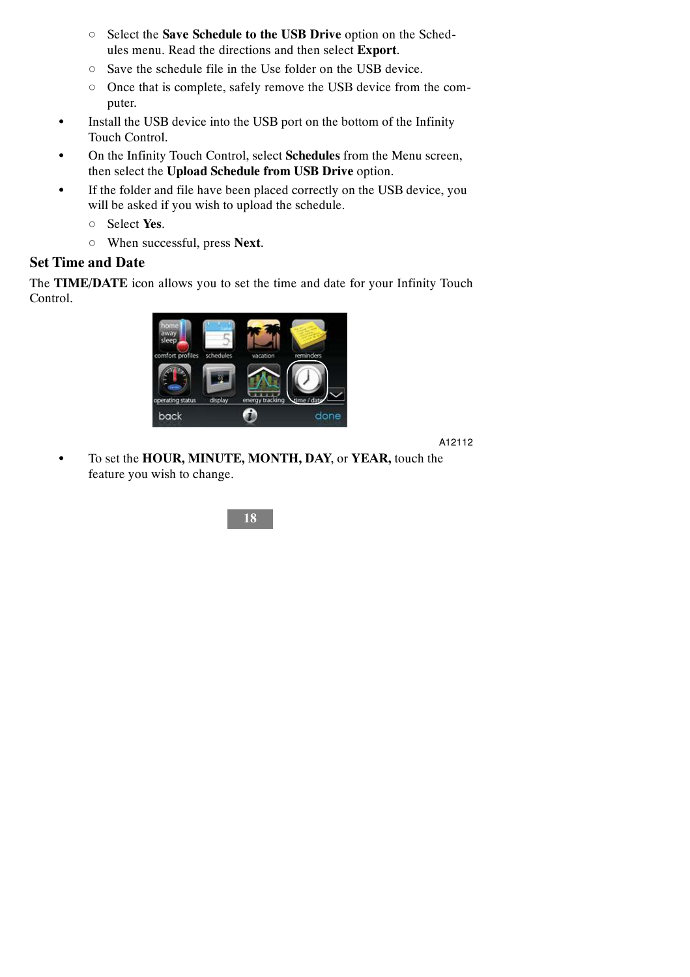- d Select the **Save Schedule to the USB Drive** option on the Schedules menu. Read the directions and then select **Export**.
- o Save the schedule file in the Use folder on the USB device.
- o Once that is complete, safely remove the USB device from the computer.
- Install the USB device into the USB port on the bottom of the Infinity Touch Control.
- On the Infinity Touch Control, select **Schedules** from the Menu screen, then select the **Upload Schedule from USB Drive** option.
- If the folder and file have been placed correctly on the USB device, you will be asked if you wish to upload the schedule.
	- d Select **Yes**.
	- d When successful, press **Next**.

#### **Set Time and Date**

The **TIME/DATE** icon allows you to set the time and date for your Infinity Touch Control.



A12112

S To set the **HOUR, MINUTE, MONTH, DAY**, or **YEAR,** touch the feature you wish to change.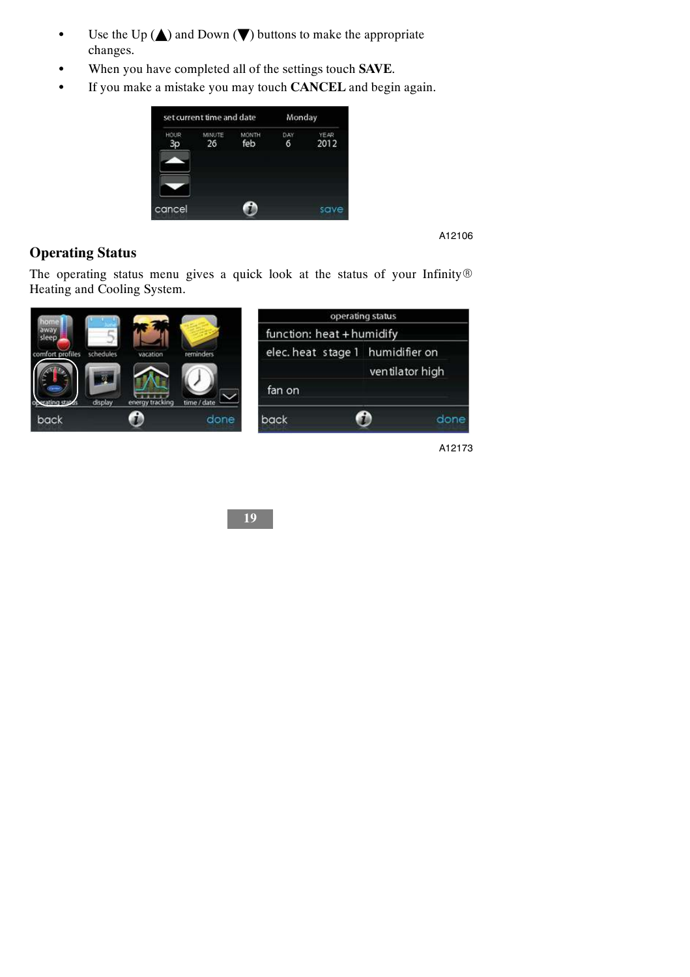- $\bullet$  Use the Up ( $\blacktriangle$ ) and Down ( $\nabla$ ) buttons to make the appropriate changes.
- $\bullet$  When you have completed all of the settings touch **SAVE**.
- $\bullet$  If you make a mistake you may touch **CANCEL** and begin again.



### **Operating Status**

The operating status menu gives a quick look at the status of your Infinity $\circledR$ Heating and Cooling System.



A12173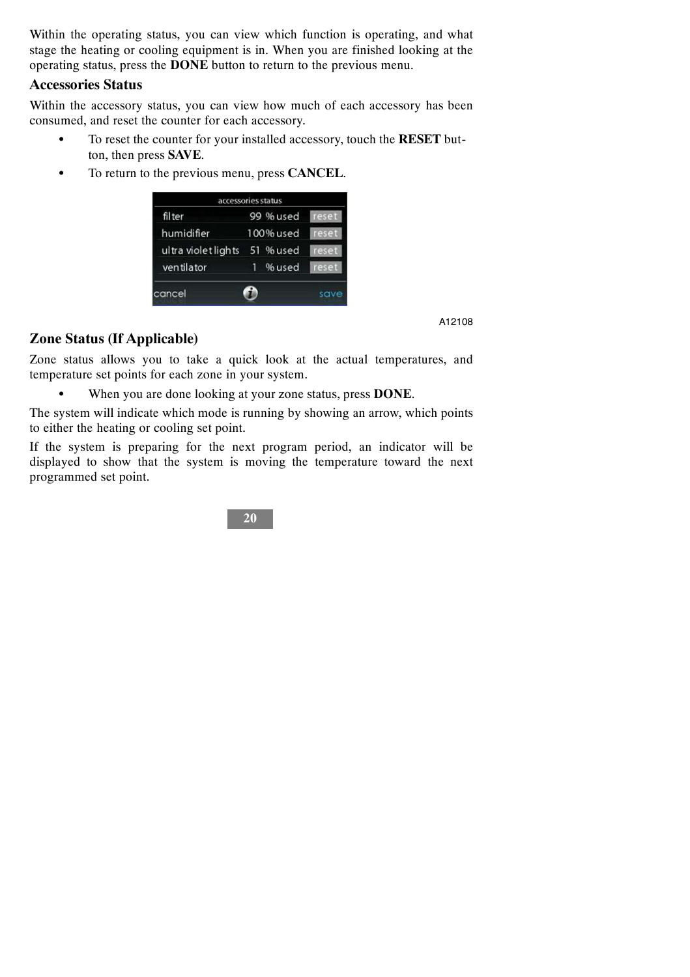Within the operating status, you can view which function is operating, and what stage the heating or cooling equipment is in. When you are finished looking at the operating status, press the **DONE** button to return to the previous menu.

#### **Accessories Status**

Within the accessory status, you can view how much of each accessory has been consumed, and reset the counter for each accessory.

- S To reset the counter for your installed accessory, touch the **RESET** button, then press **SAVE**.
- To return to the previous menu, press **CANCEL**.

| accessories status  |           |       |
|---------------------|-----------|-------|
| filter              | 99 % used | reset |
| humidifier          | 100% used | reset |
| ultra violet lights | 51 % used | reset |
| ventilator          | % used    | reset |
| cancel              |           | save  |

A12108

#### **Zone Status (If Applicable)**

Zone status allows you to take a quick look at the actual temperatures, and temperature set points for each zone in your system.

S When you are done looking at your zone status, press **DONE**.

The system will indicate which mode is running by showing an arrow, which points to either the heating or cooling set point.

If the system is preparing for the next program period, an indicator will be displayed to show that the system is moving the temperature toward the next programmed set point.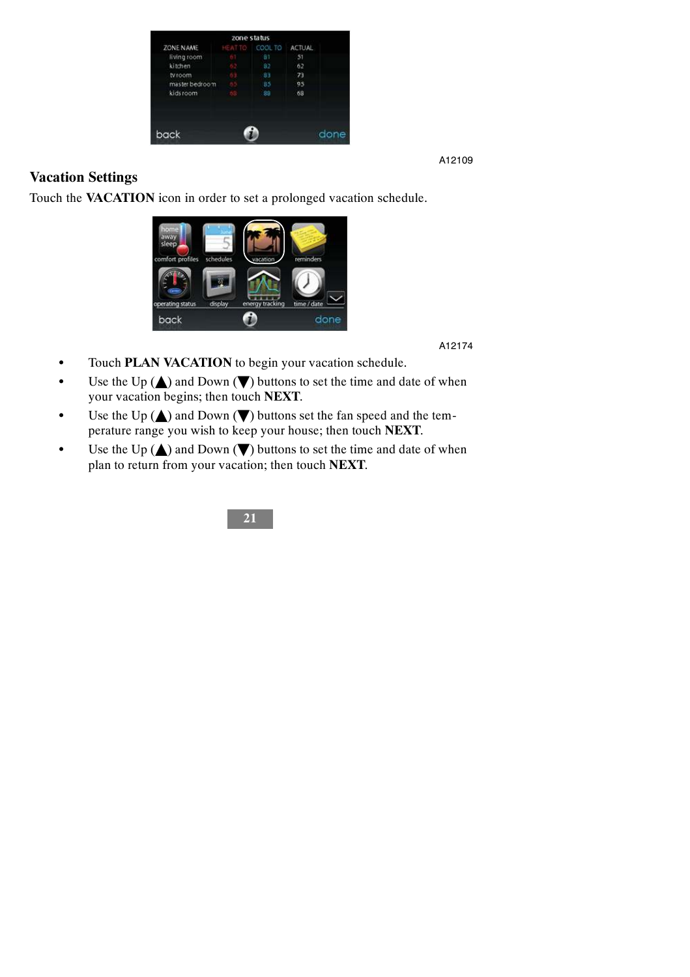| zone status    |  |                       |    |      |
|----------------|--|-----------------------|----|------|
| ZONE NAME      |  | HEATTO COOL TO ACTUAL |    |      |
| living room    |  | 81                    | 51 |      |
| kitchen        |  | 82                    | 62 |      |
| tyroom         |  | 83                    | 73 |      |
| master bedroom |  | 85                    | 95 |      |
| kidsroom       |  | 88                    | 68 |      |
| back           |  |                       |    | done |

### **Vacation Settings**

Touch the **VACATION** icon in order to set a prolonged vacation schedule.



A12174

- Touch **PLAN VACATION** to begin your vacation schedule.
- Use the Up  $(\triangle)$  and Down  $(\blacktriangledown)$  buttons to set the time and date of when your vacation begins; then touch **NEXT**.
- Use the Up  $(\triangle)$  and Down  $(\blacktriangledown)$  buttons set the fan speed and the temperature range you wish to keep your house; then touch **NEXT**.
- Use the Up  $(\triangle)$  and Down  $(\nabla)$  buttons to set the time and date of when plan to return from your vacation; then touch **NEXT**.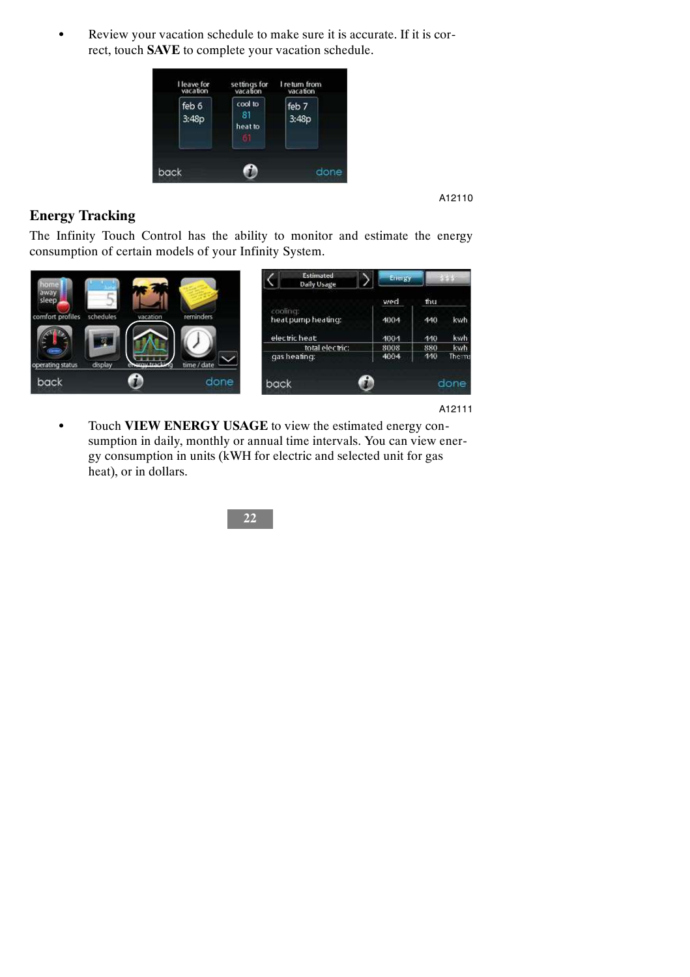• Review your vacation schedule to make sure it is accurate. If it is correct, touch **SAVE** to complete your vacation schedule.



A12110

#### **Energy Tracking**

The Infinity Touch Control has the ability to monitor and estimate the energy consumption of certain models of your Infinity System.



A12111

 $\bullet$  Touch VIEW ENERGY USAGE to view the estimated energy consumption in daily, monthly or annual time intervals. You can view energy consumption in units (kWH for electric and selected unit for gas heat), or in dollars.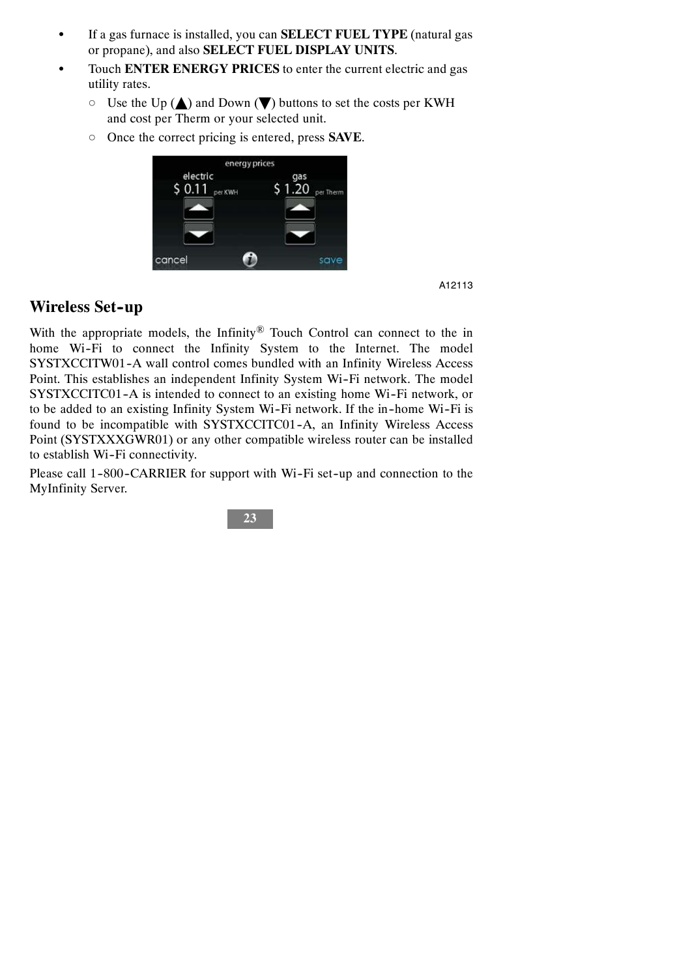- S If a gas furnace is installed, you can **SELECT FUEL TYPE** (natural gas or propane), and also **SELECT FUEL DISPLAY UNITS**.
- Touch **ENTER ENERGY PRICES** to enter the current electric and gas utility rates.
	- $\circ$  Use the Up ( $\triangle$ ) and Down ( $\nabla$ ) buttons to set the costs per KWH and cost per Therm or your selected unit.
	- d Once the correct pricing is entered, press **SAVE**.



### **Wireless Set-up**

With the appropriate models, the Infinity<sup>®</sup> Touch Control can connect to the in home Wi-Fi to connect the Infinity System to the Internet. The model SYSTXCCITW01-A wall control comes bundled with an Infinity Wireless Access Point. This establishes an independent Infinity System Wi-Fi network. The model SYSTXCCITC01-A is intended to connect to an existing home Wi-Fi network, or to be added to an existing Infinity System Wi-Fi network. If the in-home Wi-Fi is found to be incompatible with SYSTXCCITC01-A, an Infinity Wireless Access Point (SYSTXXXGWR01) or any other compatible wireless router can be installed to establish Wi-Fi connectivity.

Please call 1-800-CARRIER for support with Wi-Fi set-up and connection to the MyInfinity Server.

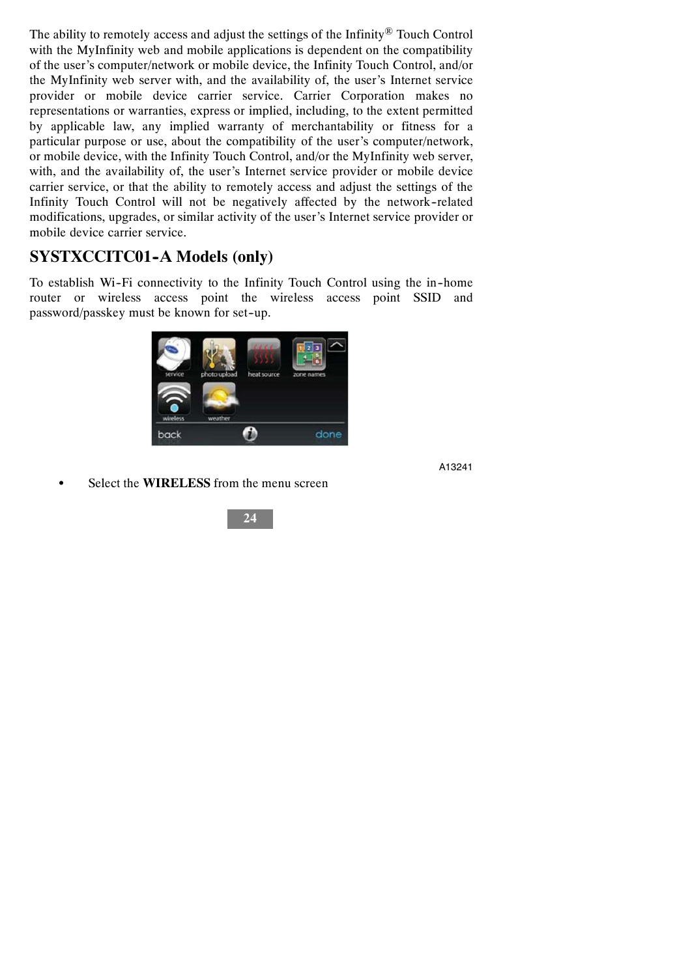The ability to remotely access and adjust the settings of the Infinity<sup>®</sup> Touch Control with the MyInfinity web and mobile applications is dependent on the compatibility of the user's computer/network or mobile device, the Infinity Touch Control, and/or the MyInfinity web server with, and the availability of, the user's Internet service provider or mobile device carrier service. Carrier Corporation makes no representations or warranties, express or implied, including, to the extent permitted by applicable law, any implied warranty of merchantability or fitness for a particular purpose or use, about the compatibility of the user's computer/network, or mobile device, with the Infinity Touch Control, and/or the MyInfinity web server, with, and the availability of, the user's Internet service provider or mobile device carrier service, or that the ability to remotely access and adjust the settings of the Infinity Touch Control will not be negatively affected by the network--related modifications, upgrades, or similar activity of the user's Internet service provider or mobile device carrier service.

## **SYSTXCCITC01-A Models (only)**

To establish Wi--Fi connectivity to the Infinity Touch Control using the in--home router or wireless access point the wireless access point SSID and password/passkey must be known for set-up.



A13241

Select the **WIRELESS** from the menu screen

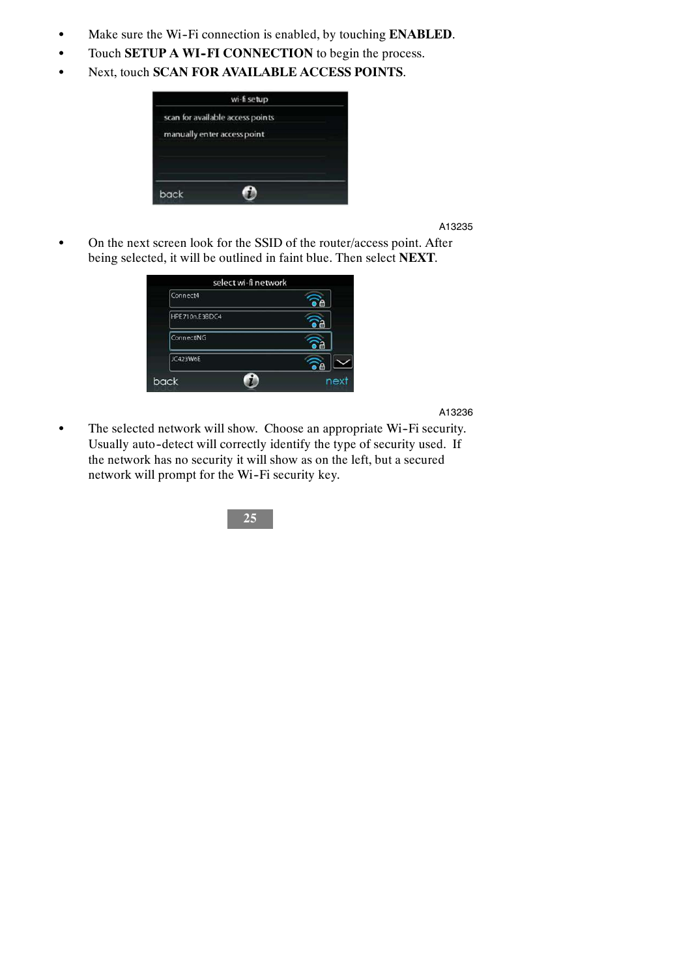- $\bullet$  Make sure the Wi-Fi connection is enabled, by touching **ENABLED**.
- $\bullet$  Touch **SETUP A WI-FI CONNECTION** to begin the process.
- Next, touch **SCAN FOR AVAILABLE ACCESS POINTS**.



• On the next screen look for the SSID of the router/access point. After being selected, it will be outlined in faint blue. Then select **NEXT**.



A13236

• The selected network will show. Choose an appropriate Wi-Fi security. Usually auto-detect will correctly identify the type of security used. If the network has no security it will show as on the left, but a secured network will prompt for the Wi-Fi security key.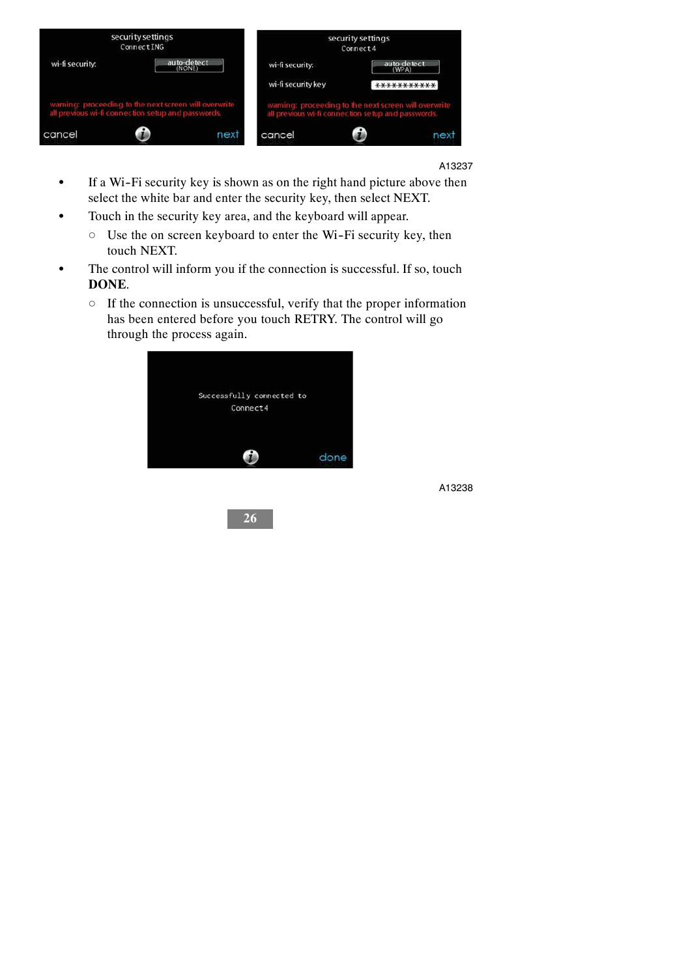

- If a Wi-Fi security key is shown as on the right hand picture above then select the white bar and enter the security key, then select NEXT.
- Touch in the security key area, and the keyboard will appear.
	- $\circ$  Use the on screen keyboard to enter the Wi-Fi security key, then touch NEXT.
- The control will inform you if the connection is successful. If so, touch **DONE**.
	- $\circ$  If the connection is unsuccessful, verify that the proper information has been entered before you touch RETRY. The control will go through the process again.



**26**

A13238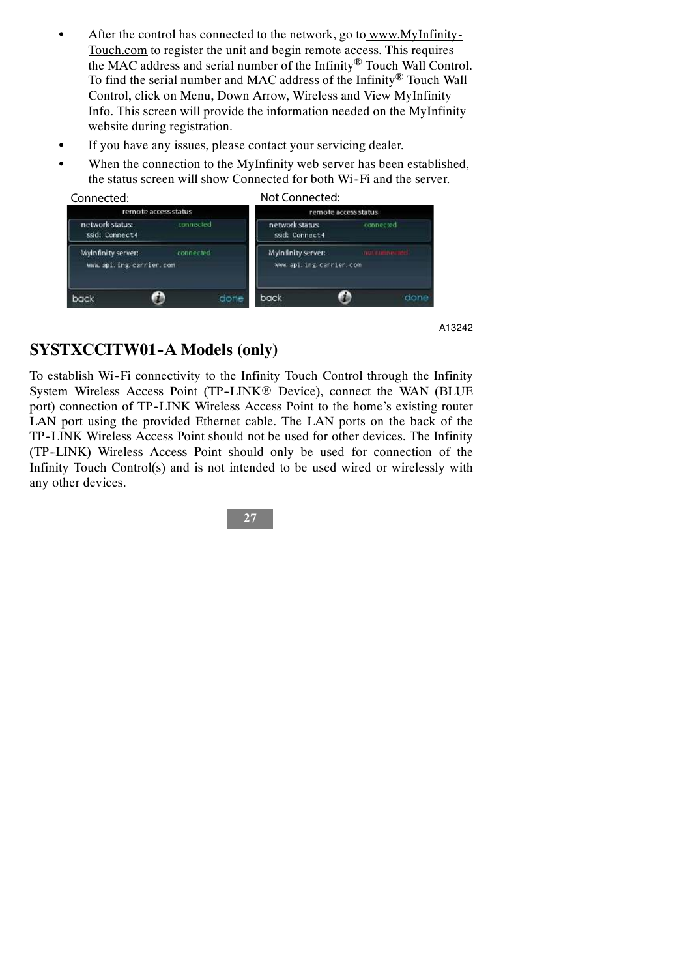- $\bullet$  After the control has connected to the network, go to www.MyInfinity-Touch.com to register the unit and begin remote access. This requires the MAC address and serial number of the Infinity® Touch Wall Control. To find the serial number and MAC address of the Infinity® Touch Wall Control, click on Menu, Down Arrow, Wireless and View MyInfinity Info. This screen will provide the information needed on the MyInfinity website during registration.
- If you have any issues, please contact your servicing dealer.
- When the connection to the MyInfinity web server has been established, the status screen will show Connected for both Wi-Fi and the server.



## **SYSTXCCITW01-A Models (only)**

To establish Wi--Fi connectivity to the Infinity Touch Control through the Infinity System Wireless Access Point (TP-LINK® Device), connect the WAN (BLUE port) connection of TP-LINK Wireless Access Point to the home's existing router LAN port using the provided Ethernet cable. The LAN ports on the back of the TP--LINK Wireless Access Point should not be used for other devices. The Infinity (TP--LINK) Wireless Access Point should only be used for connection of the Infinity Touch Control(s) and is not intended to be used wired or wirelessly with any other devices.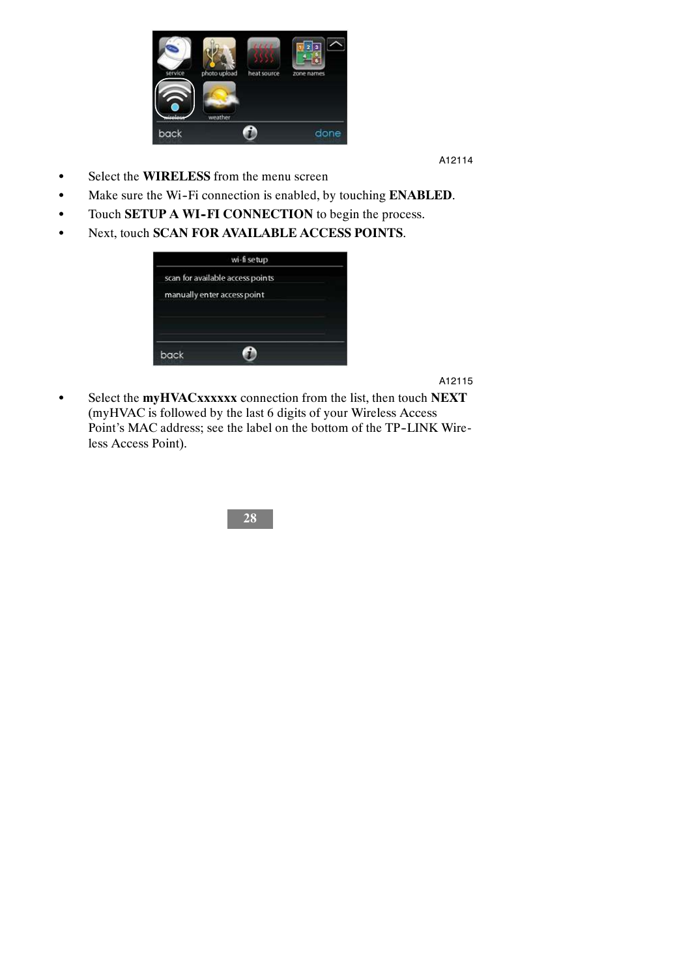

- $\bullet$  Select the **WIRELESS** from the menu screen
- Make sure the Wi-Fi connection is enabled, by touching **ENABLED**.
- Touch **SETUP A WI-FI CONNECTION** to begin the process.
- $\bullet$  Next, touch **SCAN FOR AVAILABLE ACCESS POINTS**.



A12115

S Select the **myHVACxxxxxx** connection from the list, then touch **NEXT** (myHVAC is followed by the last 6 digits of your Wireless Access Point's MAC address; see the label on the bottom of the TP-LINK Wireless Access Point).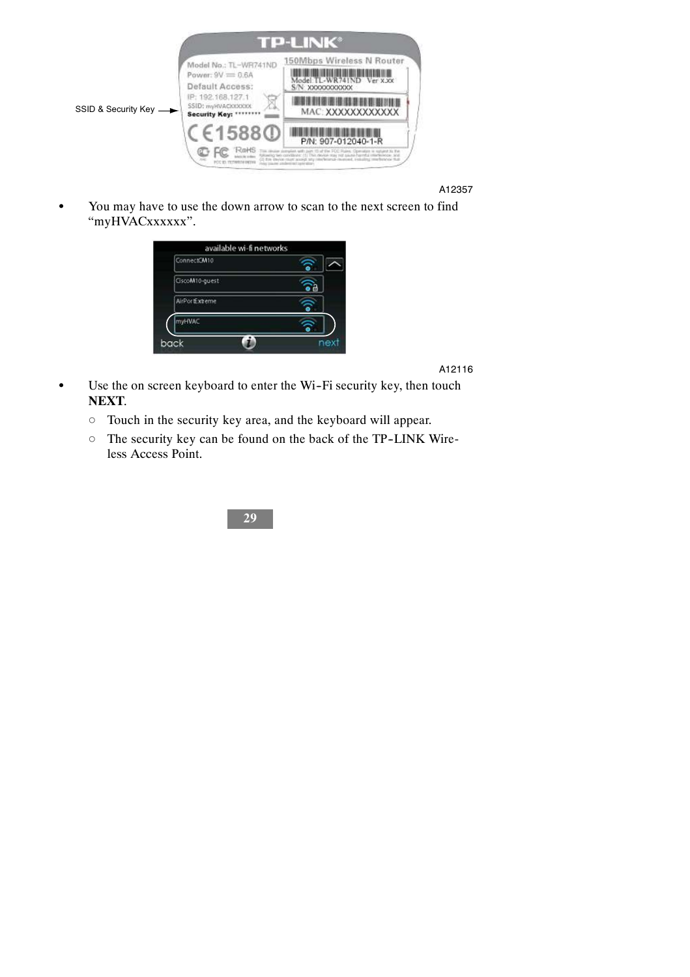

You may have to use the down arrow to scan to the next screen to find "myHVACxxxxxx".



A12116

- $\bullet$  Use the on screen keyboard to enter the Wi-Fi security key, then touch **NEXT**.
	- $\circ$  Touch in the security key area, and the keyboard will appear.
	- $\circ$  The security key can be found on the back of the TP-LINK Wireless Access Point.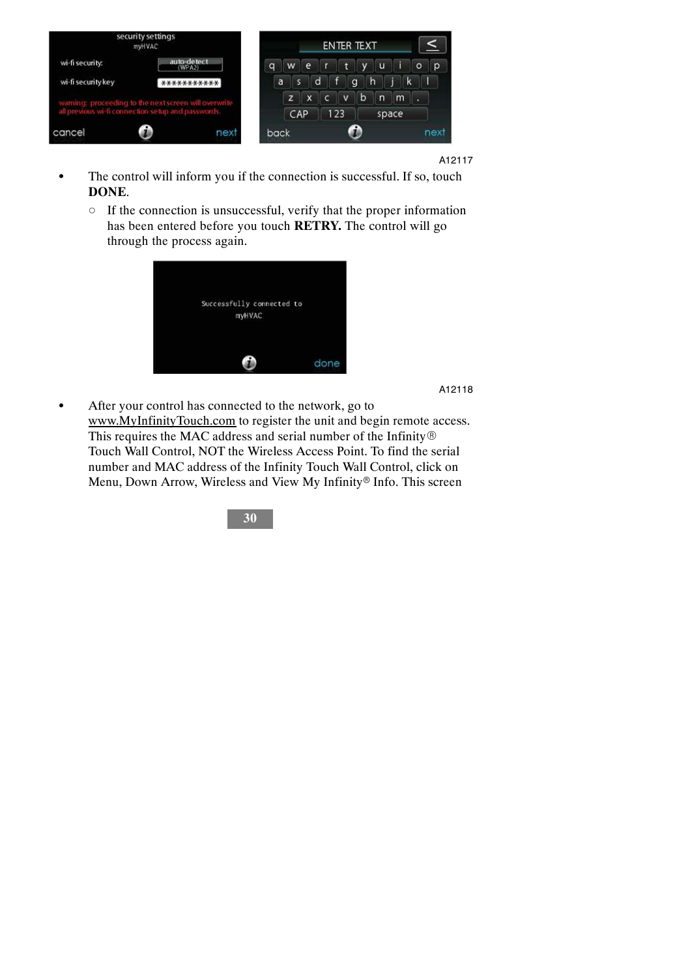

- The control will inform you if the connection is successful. If so, touch **DONE**.
	- $\circ$  If the connection is unsuccessful, verify that the proper information has been entered before you touch **RETRY.** The control will go through the process again.



A12118

• After your control has connected to the network, go to www.MyInfinityTouch.com to register the unit and begin remote access. This requires the MAC address and serial number of the Infinity $\circledR$ Touch Wall Control, NOT the Wireless Access Point. To find the serial number and MAC address of the Infinity Touch Wall Control, click on Menu, Down Arrow, Wireless and View My Infinity® Info. This screen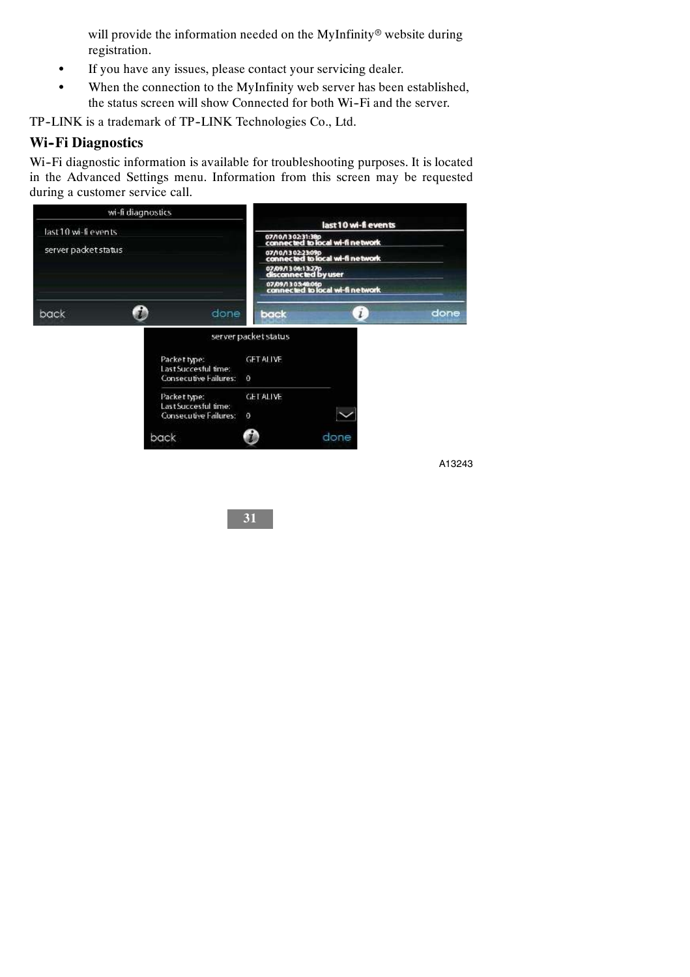will provide the information needed on the MyInfinity® website during registration.

- If you have any issues, please contact your servicing dealer.
- When the connection to the MyInfinity web server has been established, the status screen will show Connected for both Wi-Fi and the server.

TP-LINK is a trademark of TP-LINK Technologies Co., Ltd.

#### **Wi-Fi Diagnostics**

Wi-Fi diagnostic information is available for troubleshooting purposes. It is located in the Advanced Settings menu. Information from this screen may be requested during a customer service call.



A13243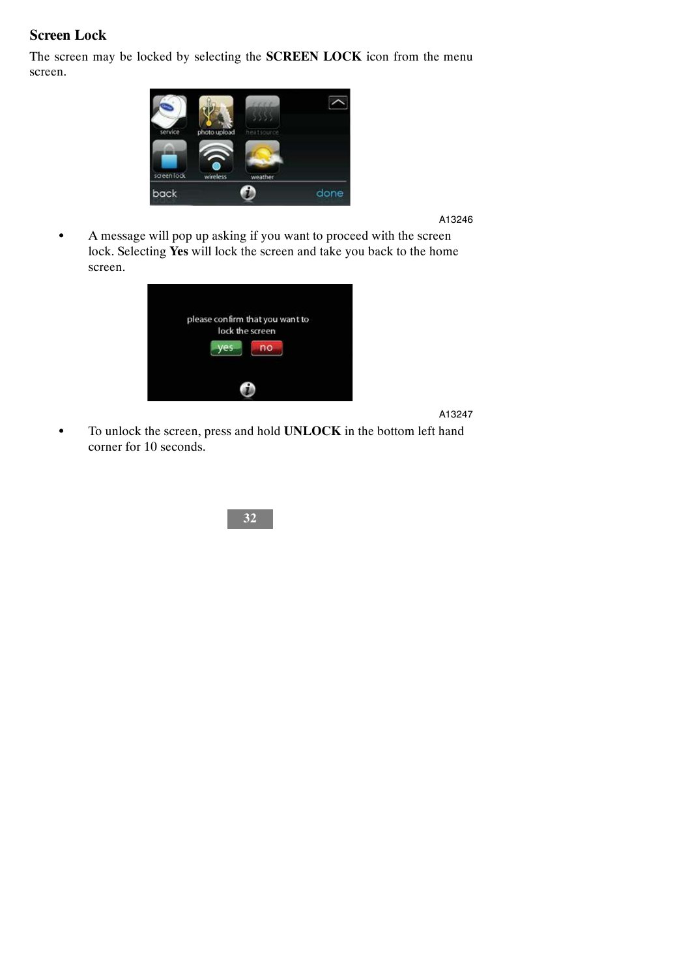## **Screen Lock**

The screen may be locked by selecting the **SCREEN LOCK** icon from the menu screen.



A13246

• A message will pop up asking if you want to proceed with the screen lock. Selecting **Yes** will lock the screen and take you back to the home screen.

| please confirm that you want to<br>lock the screen<br>no |
|----------------------------------------------------------|
|                                                          |

A13247

 $\bullet$  To unlock the screen, press and hold **UNLOCK** in the bottom left hand corner for 10 seconds.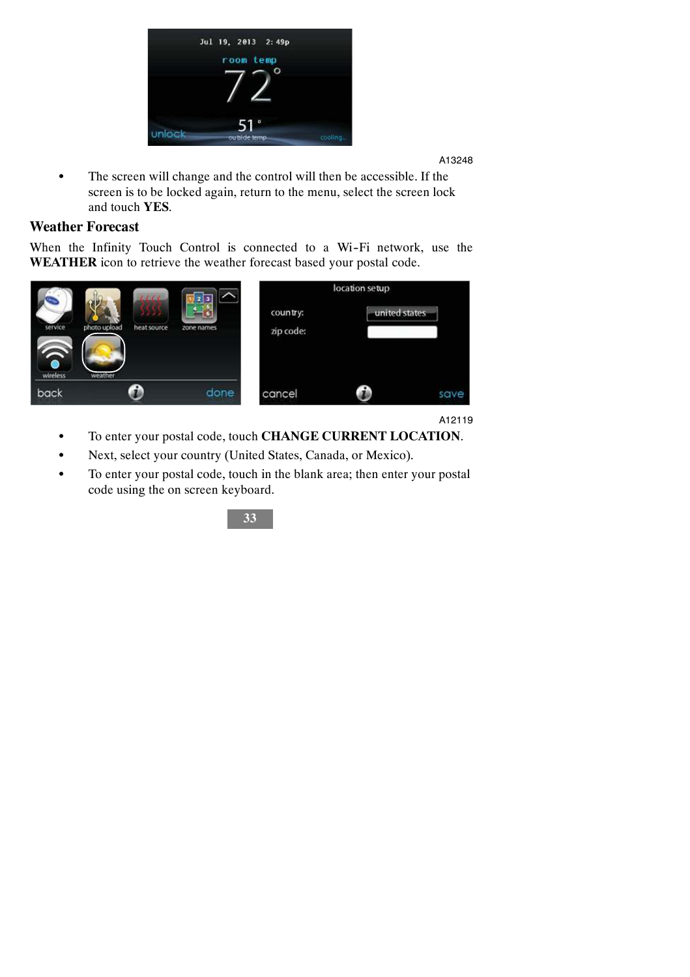

• The screen will change and the control will then be accessible. If the screen is to be locked again, return to the menu, select the screen lock and touch **YES**.

### **Weather Forecast**

When the Infinity Touch Control is connected to a Wi-Fi network, use the **WEATHER** icon to retrieve the weather forecast based your postal code.

|                          | 1111                                   | 2 3        |                       | location setup |      |
|--------------------------|----------------------------------------|------------|-----------------------|----------------|------|
| service<br>6<br>wireless | photo upload<br>heat source<br>weather | zone names | country:<br>zip code: | united states. |      |
| back                     |                                        | done       | cancel                |                | save |

A12119

- $\bullet$  To enter your postal code, touch **CHANGE CURRENT LOCATION**.
- Next, select your country (United States, Canada, or Mexico).
- To enter your postal code, touch in the blank area; then enter your postal code using the on screen keyboard.

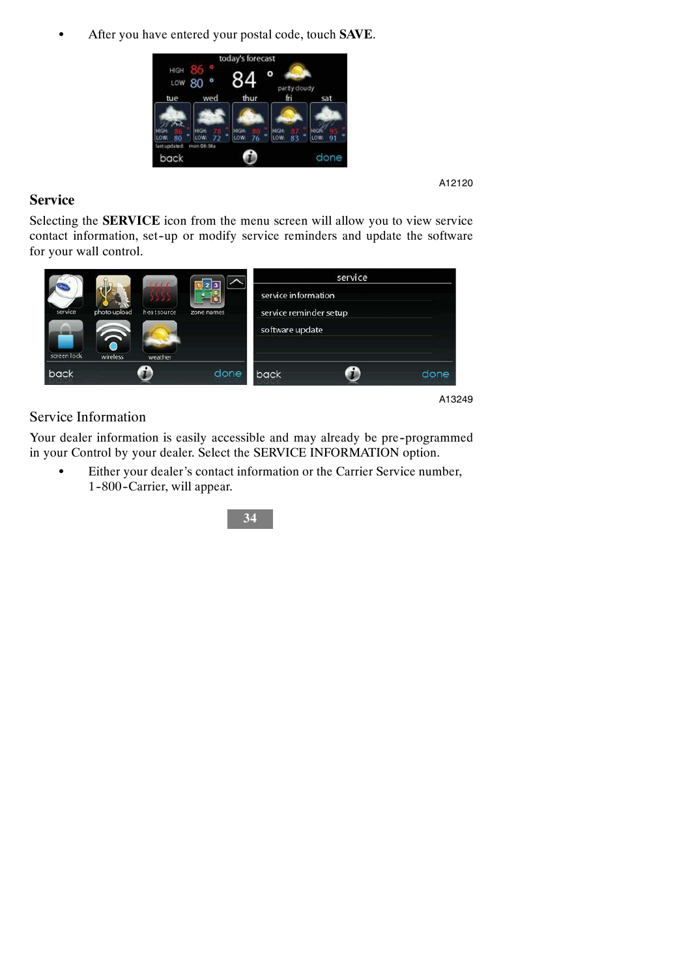S After you have entered your postal code, touch **SAVE**.



#### A12120

#### **Service**

Selecting the **SERVICE** icon from the menu screen will allow you to view service contact information, set-up or modify service reminders and update the software for your wall control.

| screen lock<br>wireless.<br>weather |      | software update |  | photo upload<br>= |  |
|-------------------------------------|------|-----------------|--|-------------------|--|
| done<br>back<br>back                | done |                 |  |                   |  |

#### Service Information

Your dealer information is easily accessible and may already be pre-programmed in your Control by your dealer. Select the SERVICE INFORMATION option.

S Either your dealer's contact information or the Carrier Service number, 1-800-Carrier, will appear.

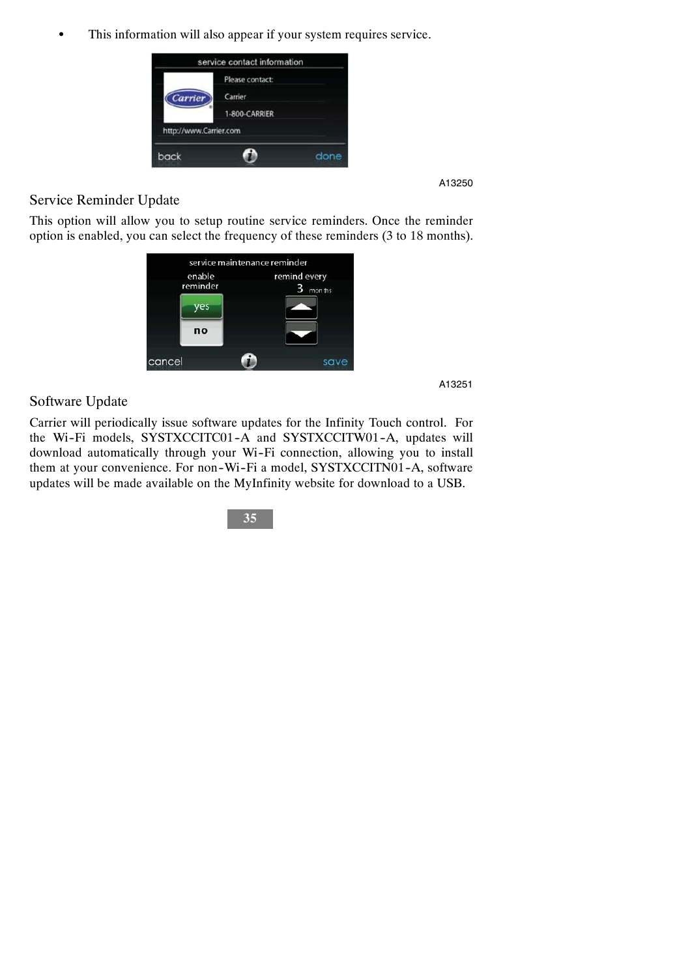• This information will also appear if your system requires service.



A13250

#### Service Reminder Update

This option will allow you to setup routine service reminders. Once the reminder option is enabled, you can select the frequency of these reminders (3 to 18 months).



A13251

#### Software Update

Carrier will periodically issue software updates for the Infinity Touch control. For the Wi-Fi models, SYSTXCCITC01-A and SYSTXCCITW01-A, updates will download automatically through your Wi-Fi connection, allowing you to install them at your convenience. For non-Wi-Fi a model, SYSTXCCITN01-A, software updates will be made available on the MyInfinity website for download to a USB.

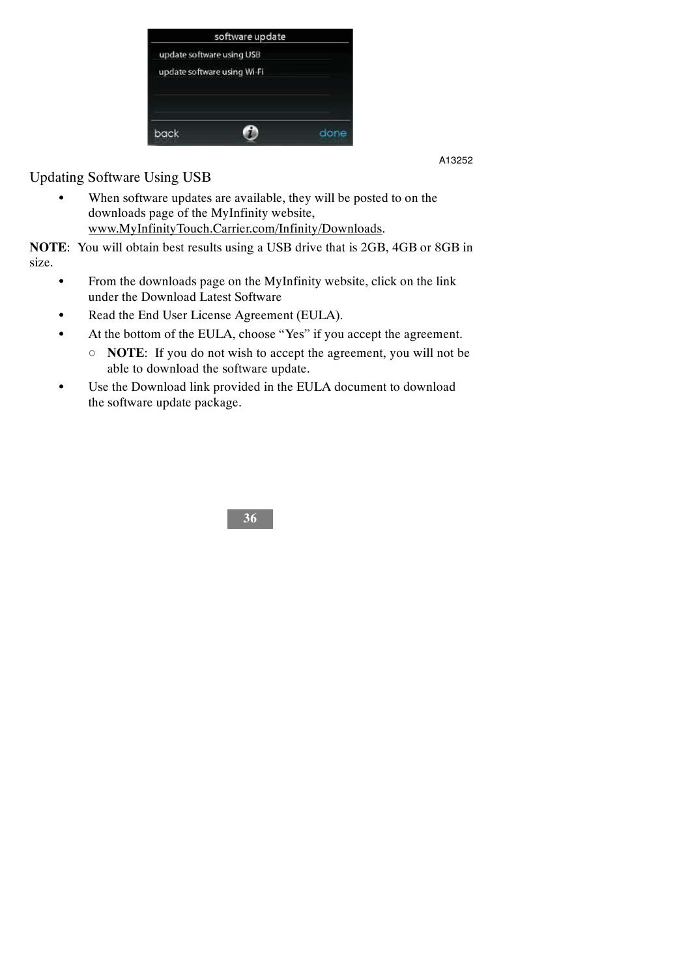

Updating Software Using USB

• When software updates are available, they will be posted to on the downloads page of the MyInfinity website, www.MyInfinityTouch.Carrier.com/Infinity/Downloads.

**NOTE**: You will obtain best results using a USB drive that is 2GB, 4GB or 8GB in size.

- From the downloads page on the MyInfinity website, click on the link under the Download Latest Software
- Read the End User License Agreement (EULA).
- At the bottom of the EULA, choose "Yes" if you accept the agreement.
	- d **NOTE**: If you do not wish to accept the agreement, you will not be able to download the software update.
- Use the Download link provided in the EULA document to download the software update package.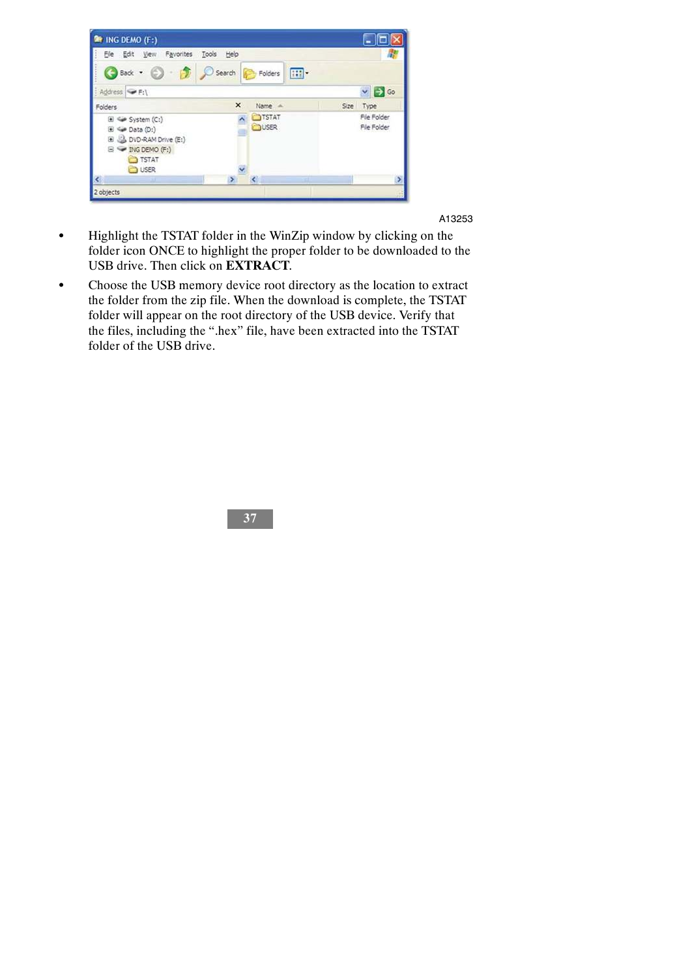

- Highlight the TSTAT folder in the WinZip window by clicking on the folder icon ONCE to highlight the proper folder to be downloaded to the USB drive. Then click on **EXTRACT**.
- Choose the USB memory device root directory as the location to extract the folder from the zip file. When the download is complete, the TSTAT folder will appear on the root directory of the USB device. Verify that the files, including the ".hex" file, have been extracted into the TSTAT folder of the USB drive.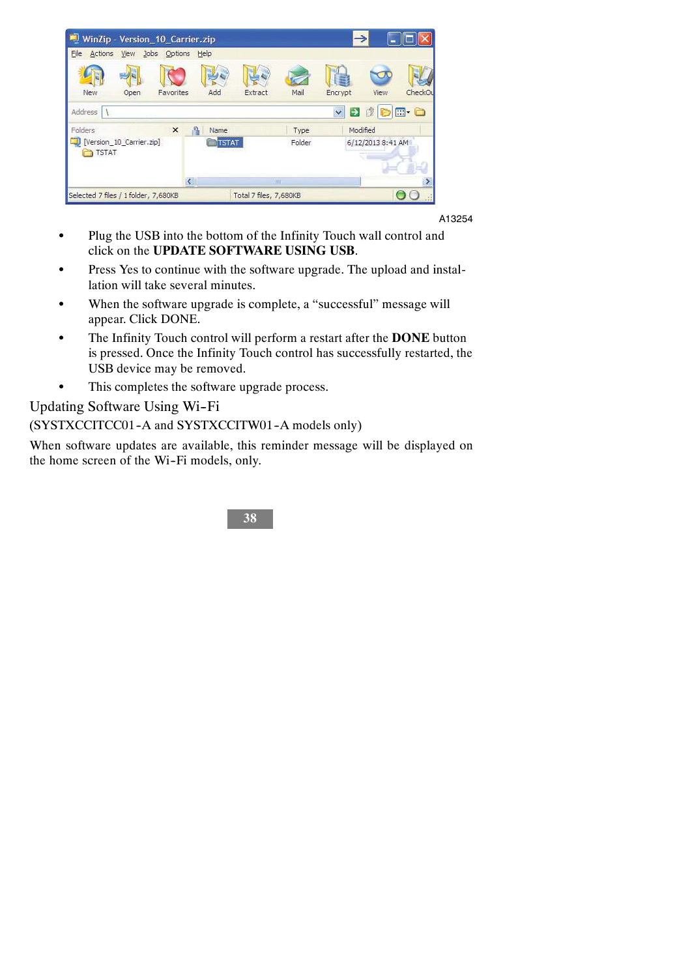| WinZip - Version_10_Carrier.zip              |                                                   |                        |             |                                       |                           |
|----------------------------------------------|---------------------------------------------------|------------------------|-------------|---------------------------------------|---------------------------|
| File<br>Jobs Options Help<br>Actions<br>View |                                                   |                        |             |                                       |                           |
|                                              |                                                   |                        |             |                                       |                           |
| New<br>Favorites<br>Open                     | Add                                               | Extract                | Mail        | Encrypt                               | View<br>CheckOu           |
| Address                                      |                                                   |                        |             | $\ddot{\phantom{1}}$<br>$\rightarrow$ | <b>参<mark>D</mark>E-0</b> |
| Folders<br>$\pmb{\times}$                    | 昌<br>Name                                         |                        | Type        | Modified                              |                           |
| [Version_10_Carrier.zip]                     |                                                   | Folder<br><b>STAT</b>  |             | 6/12/2013 8:41 AM                     |                           |
| TSTAT                                        |                                                   |                        |             |                                       |                           |
|                                              | $\left\vert \left\langle \right\vert \right\vert$ |                        | <b>Juli</b> |                                       |                           |
| Selected 7 files / 1 folder, 7,680KB         |                                                   | Total 7 files, 7,680KB |             |                                       |                           |

- Plug the USB into the bottom of the Infinity Touch wall control and click on the **UPDATE SOFTWARE USING USB**.
- Press Yes to continue with the software upgrade. The upload and installation will take several minutes.
- When the software upgrade is complete, a "successful" message will appear. Click DONE.
- The Infinity Touch control will perform a restart after the **DONE** button is pressed. Once the Infinity Touch control has successfully restarted, the USB device may be removed.
- This completes the software upgrade process.

Updating Software Using Wi--Fi

(SYSTXCCITCC01-A and SYSTXCCITW01-A models only)

When software updates are available, this reminder message will be displayed on the home screen of the Wi-Fi models, only.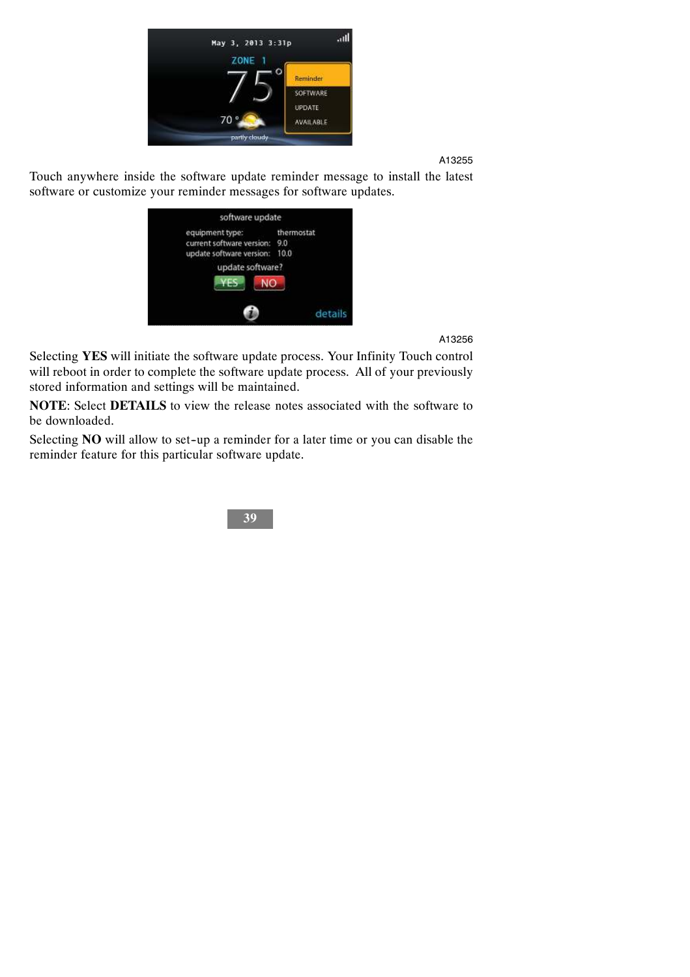

Touch anywhere inside the software update reminder message to install the latest software or customize your reminder messages for software updates.

| software update<br>equipment type: | thermostat |
|------------------------------------|------------|
| current software version:          | 9.0        |
| update software version:           | 10.0       |
| update software?                   |            |
| Fς<br>NO                           |            |
|                                    | details    |

A13256

Selecting **YES** will initiate the software update process. Your Infinity Touch control will reboot in order to complete the software update process. All of your previously stored information and settings will be maintained.

**NOTE**: Select **DETAILS** to view the release notes associated with the software to be downloaded.

Selecting **NO** will allow to set-up a reminder for a later time or you can disable the reminder feature for this particular software update.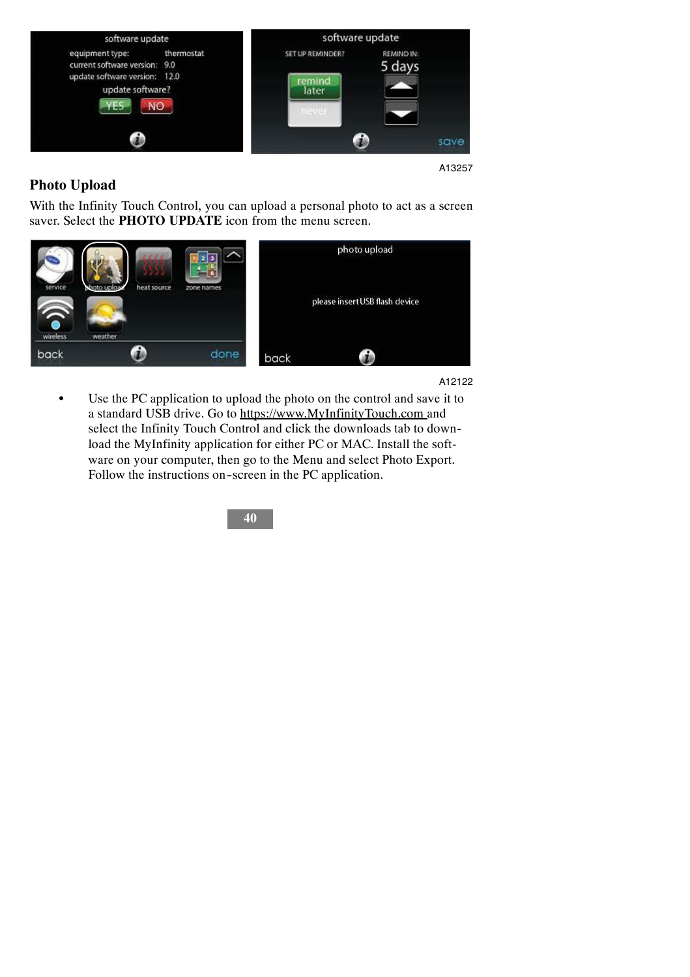

## **Photo Upload**

With the Infinity Touch Control, you can upload a personal photo to act as a screen saver. Select the **PHOTO UPDATE** icon from the menu screen.



A12122

Use the PC application to upload the photo on the control and save it to a standard USB drive. Go to https://www.MyInfinityTouch.com and select the Infinity Touch Control and click the downloads tab to download the MyInfinity application for either PC or MAC. Install the software on your computer, then go to the Menu and select Photo Export. Follow the instructions on-screen in the PC application.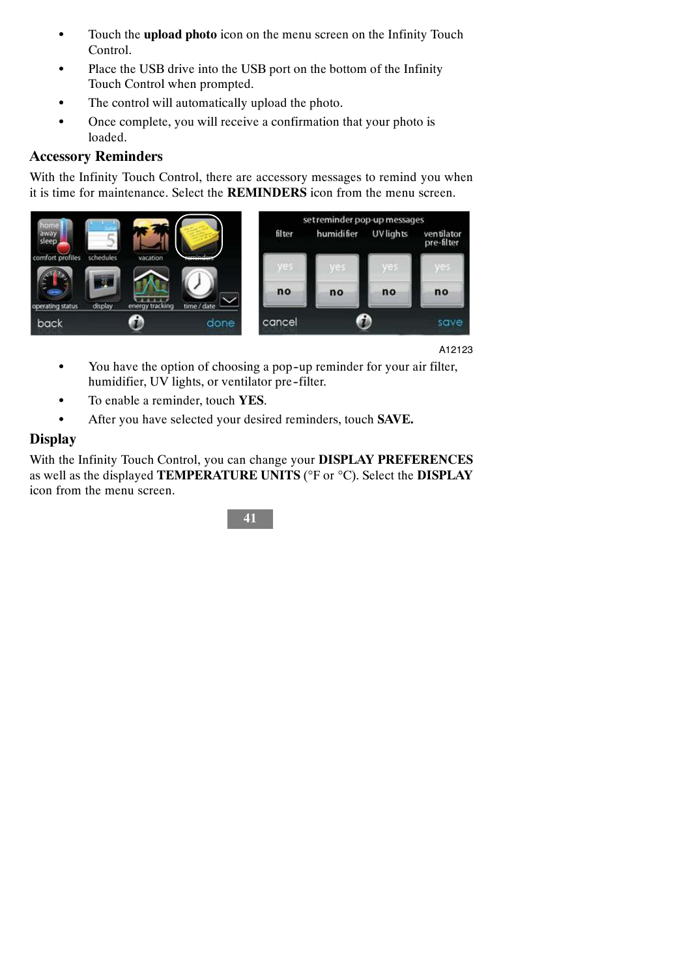- Touch the **upload photo** icon on the menu screen on the Infinity Touch Control.
- Place the USB drive into the USB port on the bottom of the Infinity Touch Control when prompted.
- The control will automatically upload the photo.
- Once complete, you will receive a confirmation that your photo is loaded.

#### **Accessory Reminders**

With the Infinity Touch Control, there are accessory messages to remind you when it is time for maintenance. Select the **REMINDERS** icon from the menu screen.



A12123

- You have the option of choosing a pop-up reminder for your air filter, humidifier, UV lights, or ventilator pre-filter.
- $\bullet$  To enable a reminder, touch **YES**.
- $\bullet$  After you have selected your desired reminders, touch **SAVE.**

#### **Display**

With the Infinity Touch Control, you can change your **DISPLAY PREFERENCES** as well as the displayed **TEMPERATURE UNITS** (°F or °C). Select the **DISPLAY** icon from the menu screen.

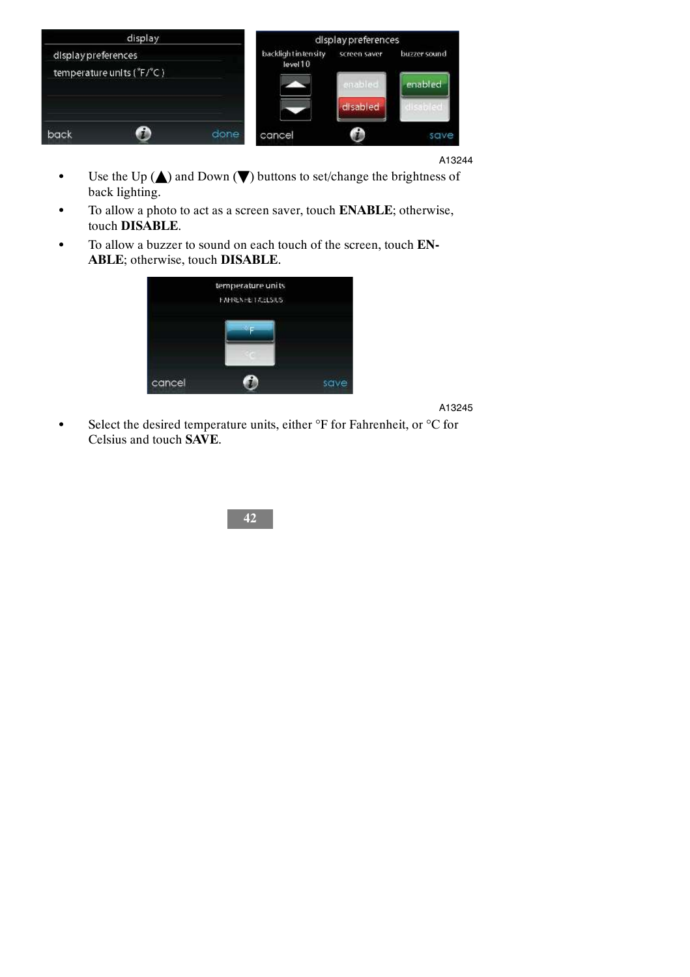

- $\bullet$  Use the Up ( $\blacktriangle$ ) and Down ( $\nabla$ ) buttons to set/change the brightness of back lighting.
- $\bullet$  To allow a photo to act as a screen saver, touch **ENABLE**; otherwise, touch **DISABLE**.
- To allow a buzzer to sound on each touch of the screen, touch **EN**-**ABLE**; otherwise, touch **DISABLE**.



A13245

Select the desired temperature units, either  ${}^{\circ}$ F for Fahrenheit, or  ${}^{\circ}$ C for Celsius and touch **SAVE**.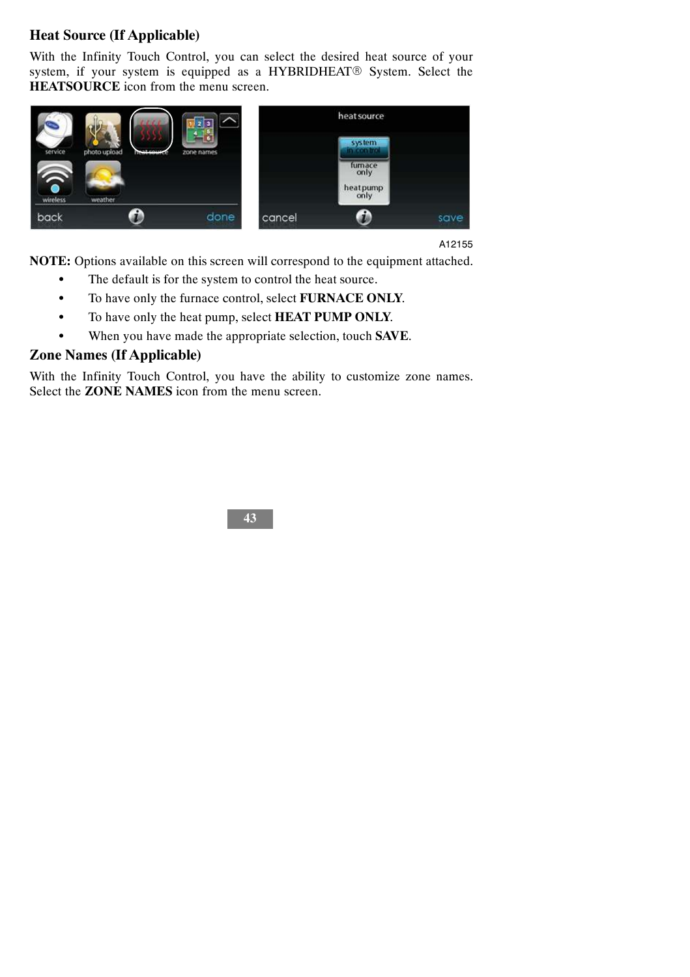## **Heat Source (If Applicable)**

With the Infinity Touch Control, you can select the desired heat source of your system, if your system is equipped as a HYBRIDHEAT<sup>®</sup> System. Select the **HEATSOURCE** icon from the menu screen.



A12155

**NOTE:** Options available on this screen will correspond to the equipment attached.

- The default is for the system to control the heat source.
- $\bullet$  To have only the furnace control, select **FURNACE ONLY**.
- $\bullet$  To have only the heat pump, select **HEAT PUMP ONLY**.
- $\bullet$  When you have made the appropriate selection, touch **SAVE**.

## **Zone Names (If Applicable)**

With the Infinity Touch Control, you have the ability to customize zone names. Select the **ZONE NAMES** icon from the menu screen.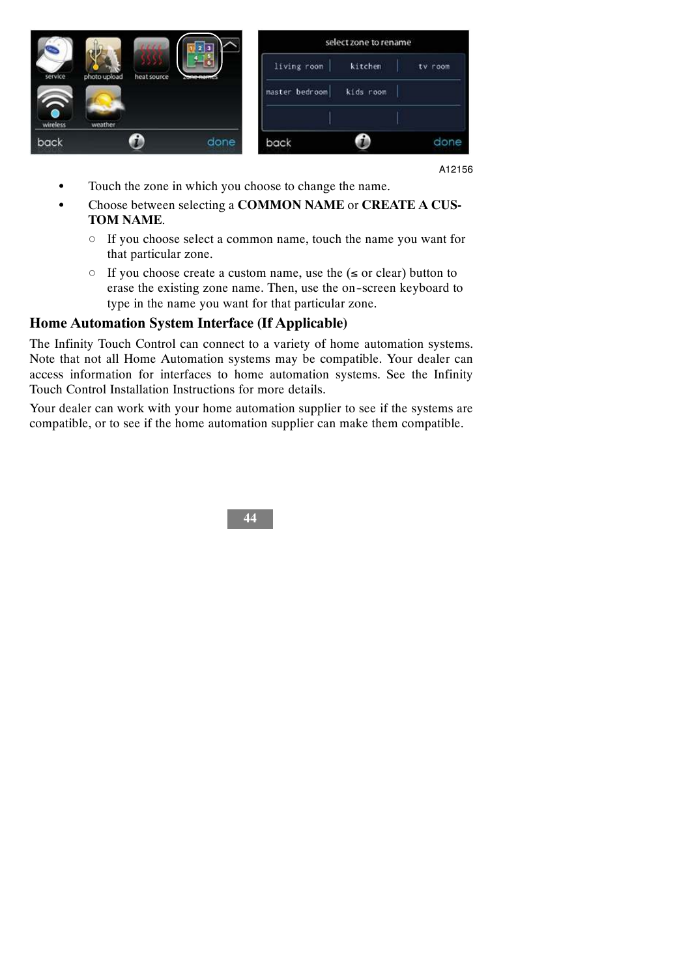|               |              |             |                      | select zone to rename |           |         |  |
|---------------|--------------|-------------|----------------------|-----------------------|-----------|---------|--|
| service       | photo upload | heat source | Anterior contraction | living room           | kitchen   | tv room |  |
|               |              |             |                      | master bedroom        | kids room |         |  |
| ●<br>wireless | weather      |             |                      |                       |           |         |  |
| back          |              |             | done                 | back                  |           | done    |  |

- Touch the zone in which you choose to change the name.
- Choose between selecting a **COMMON NAME** or **CREATE A CUS-TOM NAME**.
	- $\circ$  If you choose select a common name, touch the name you want for that particular zone.
	- $\circ$  If you choose create a custom name, use the ( $\le$  or clear) button to erase the existing zone name. Then, use the on--screen keyboard to type in the name you want for that particular zone.

#### **Home Automation System Interface (If Applicable)**

The Infinity Touch Control can connect to a variety of home automation systems. Note that not all Home Automation systems may be compatible. Your dealer can access information for interfaces to home automation systems. See the Infinity Touch Control Installation Instructions for more details.

Your dealer can work with your home automation supplier to see if the systems are compatible, or to see if the home automation supplier can make them compatible.